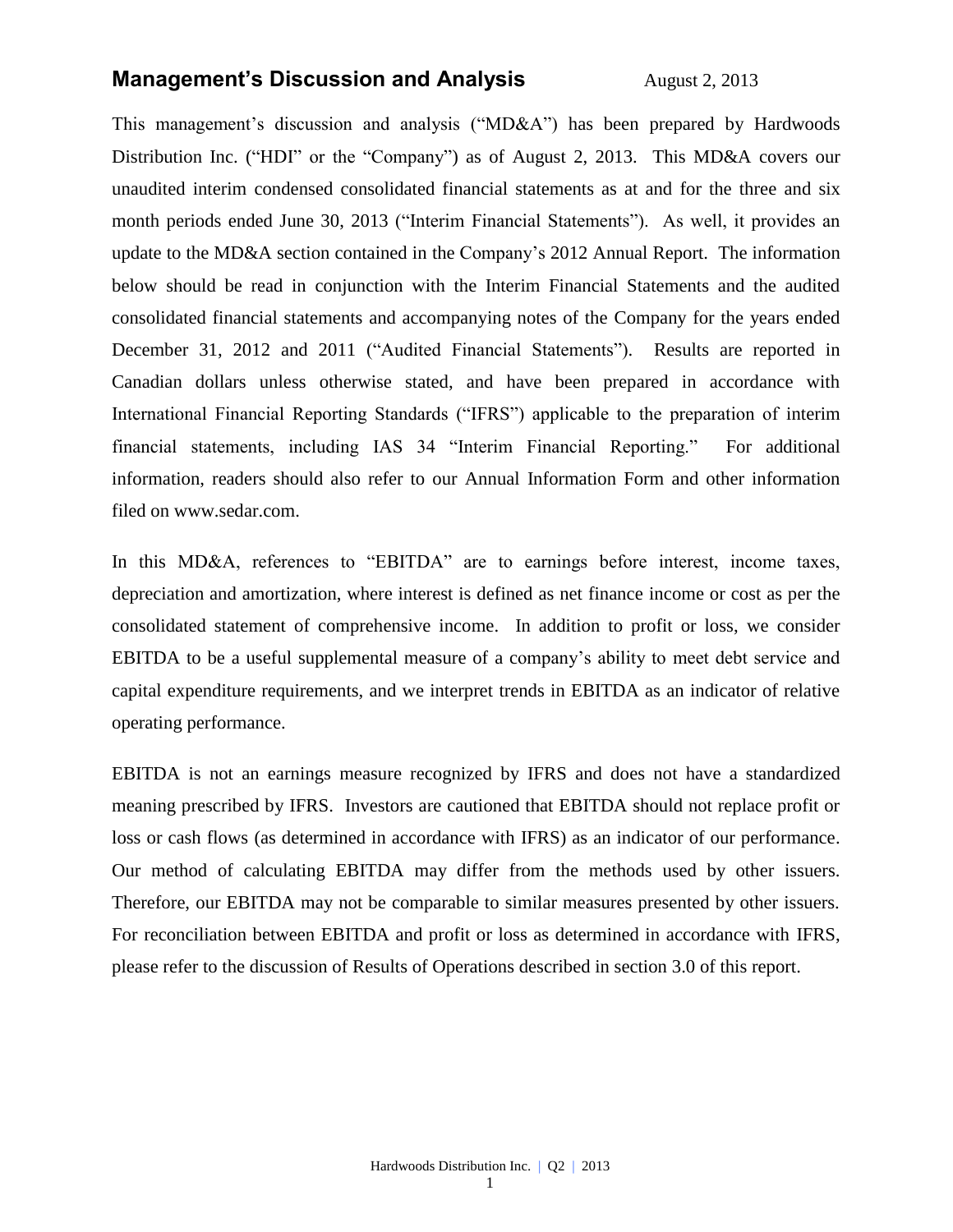## **Management's Discussion and Analysis** August 2, 2013

This management's discussion and analysis ("MD&A") has been prepared by Hardwoods Distribution Inc. ("HDI" or the "Company") as of August 2, 2013. This MD&A covers our unaudited interim condensed consolidated financial statements as at and for the three and six month periods ended June 30, 2013 ("Interim Financial Statements"). As well, it provides an update to the MD&A section contained in the Company's 2012 Annual Report. The information below should be read in conjunction with the Interim Financial Statements and the audited consolidated financial statements and accompanying notes of the Company for the years ended December 31, 2012 and 2011 ("Audited Financial Statements"). Results are reported in Canadian dollars unless otherwise stated, and have been prepared in accordance with International Financial Reporting Standards ("IFRS") applicable to the preparation of interim financial statements, including IAS 34 "Interim Financial Reporting." For additional information, readers should also refer to our Annual Information Form and other information filed on [www.sedar.com.](http://www.sedar.com/)

In this MD&A, references to "EBITDA" are to earnings before interest, income taxes, depreciation and amortization, where interest is defined as net finance income or cost as per the consolidated statement of comprehensive income. In addition to profit or loss, we consider EBITDA to be a useful supplemental measure of a company's ability to meet debt service and capital expenditure requirements, and we interpret trends in EBITDA as an indicator of relative operating performance.

EBITDA is not an earnings measure recognized by IFRS and does not have a standardized meaning prescribed by IFRS. Investors are cautioned that EBITDA should not replace profit or loss or cash flows (as determined in accordance with IFRS) as an indicator of our performance. Our method of calculating EBITDA may differ from the methods used by other issuers. Therefore, our EBITDA may not be comparable to similar measures presented by other issuers. For reconciliation between EBITDA and profit or loss as determined in accordance with IFRS, please refer to the discussion of Results of Operations described in section 3.0 of this report.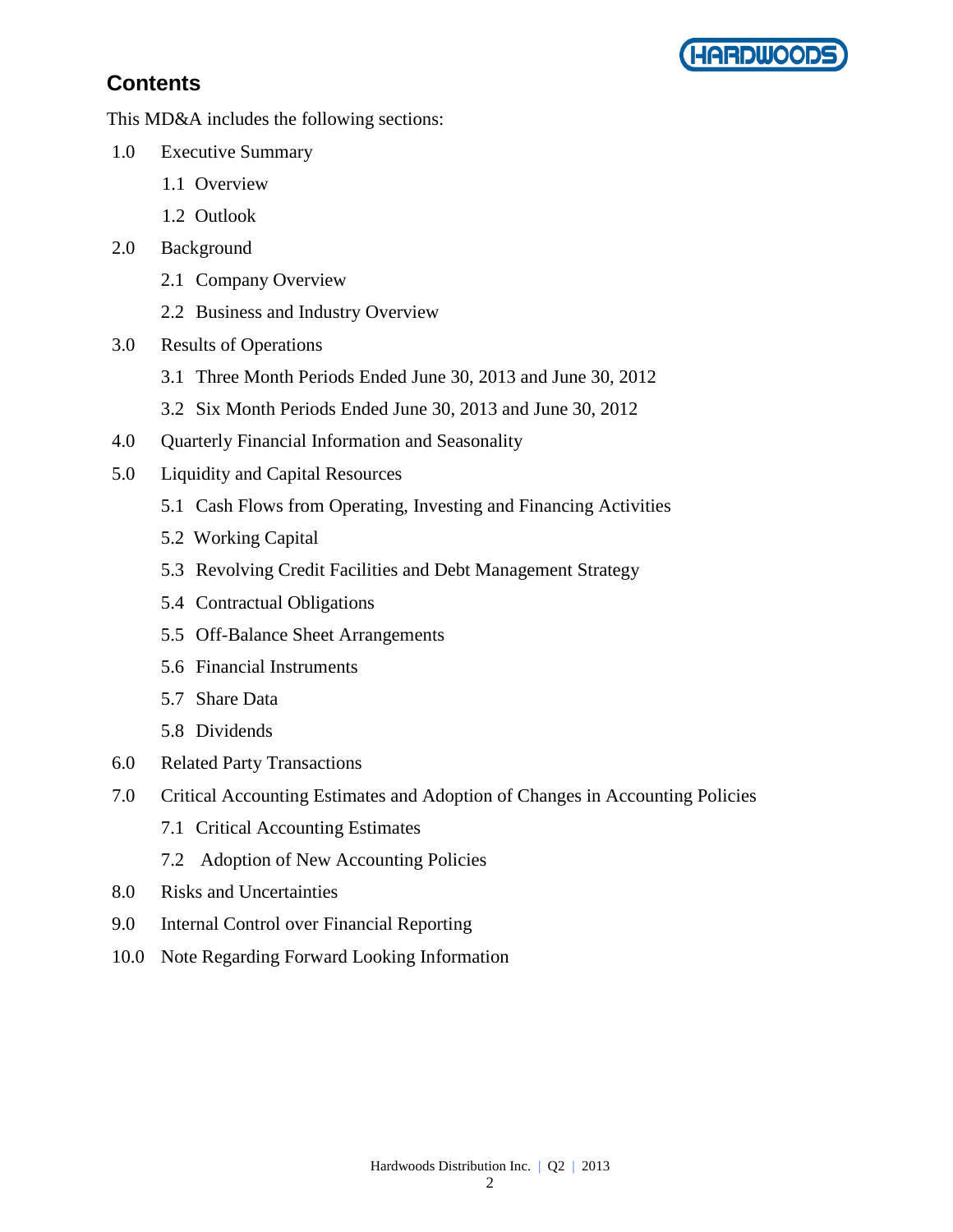

## **Contents**

This MD&A includes the following sections:

- 1.0 Executive Summary
	- 1.1 Overview
	- 1.2 Outlook
- 2.0 Background
	- 2.1 Company Overview
	- 2.2 Business and Industry Overview
- 3.0 Results of Operations
	- 3.1 Three Month Periods Ended June 30, 2013 and June 30, 2012
	- 3.2 Six Month Periods Ended June 30, 2013 and June 30, 2012
- 4.0 Quarterly Financial Information and Seasonality
- 5.0 Liquidity and Capital Resources
	- 5.1 Cash Flows from Operating, Investing and Financing Activities
	- 5.2 Working Capital
	- 5.3 Revolving Credit Facilities and Debt Management Strategy
	- 5.4 Contractual Obligations
	- 5.5 Off-Balance Sheet Arrangements
	- 5.6 Financial Instruments
	- 5.7 Share Data
	- 5.8 Dividends
- 6.0 Related Party Transactions
- 7.0 Critical Accounting Estimates and Adoption of Changes in Accounting Policies
	- 7.1 Critical Accounting Estimates
	- 7.2 Adoption of New Accounting Policies
- 8.0 Risks and Uncertainties
- 9.0 Internal Control over Financial Reporting
- 10.0 Note Regarding Forward Looking Information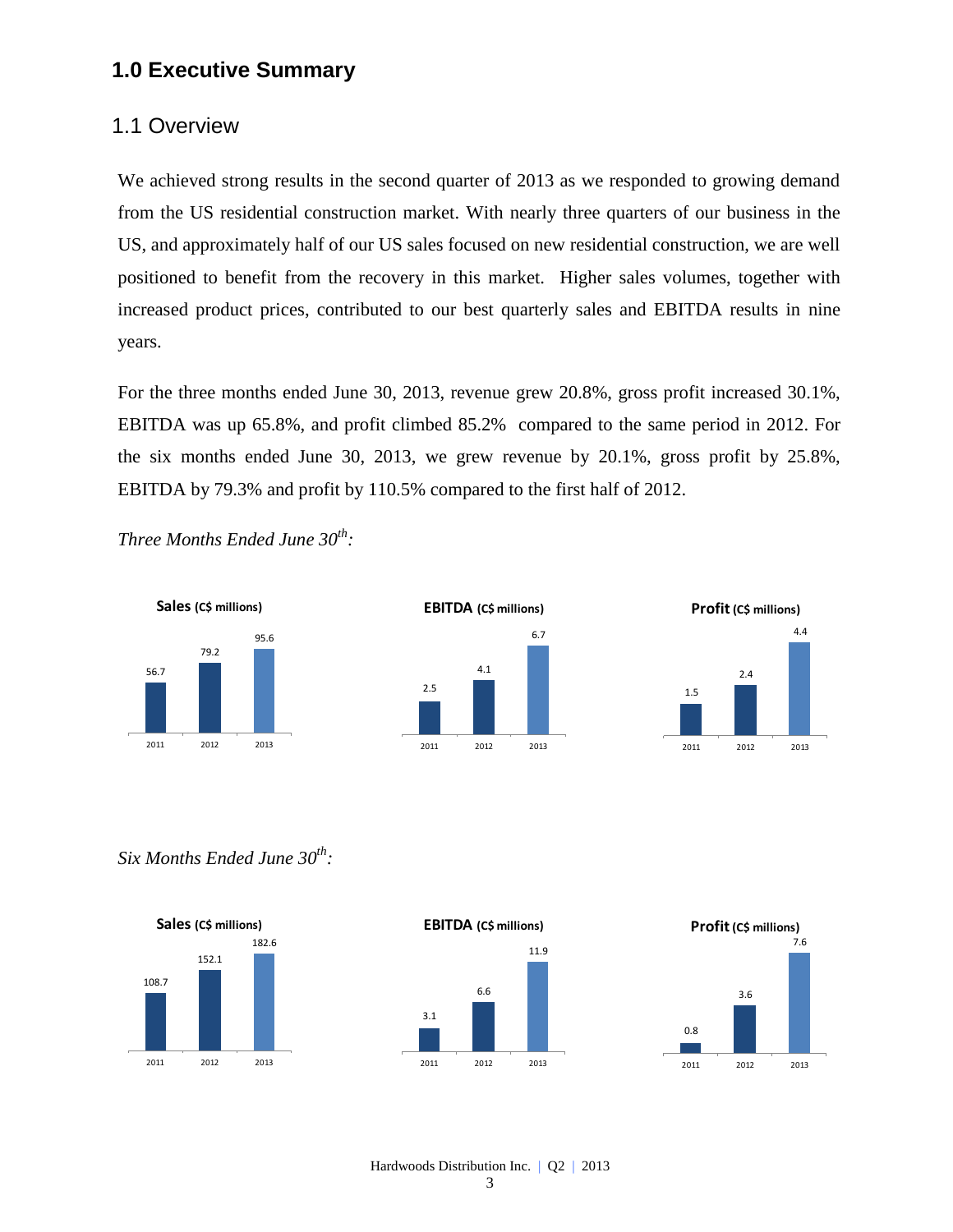## **1.0 Executive Summary**

## 1.1 Overview

We achieved strong results in the second quarter of 2013 as we responded to growing demand from the US residential construction market. With nearly three quarters of our business in the US, and approximately half of our US sales focused on new residential construction, we are well positioned to benefit from the recovery in this market. Higher sales volumes, together with increased product prices, contributed to our best quarterly sales and EBITDA results in nine years.

For the three months ended June 30, 2013, revenue grew 20.8%, gross profit increased 30.1%, EBITDA was up 65.8%, and profit climbed 85.2% compared to the same period in 2012. For the six months ended June 30, 2013, we grew revenue by 20.1%, gross profit by 25.8%, EBITDA by 79.3% and profit by 110.5% compared to the first half of 2012.

*Three Months Ended June 30th :*







*Six Months Ended June 30th :*







Hardwoods Distribution Inc. | Q2 | 2013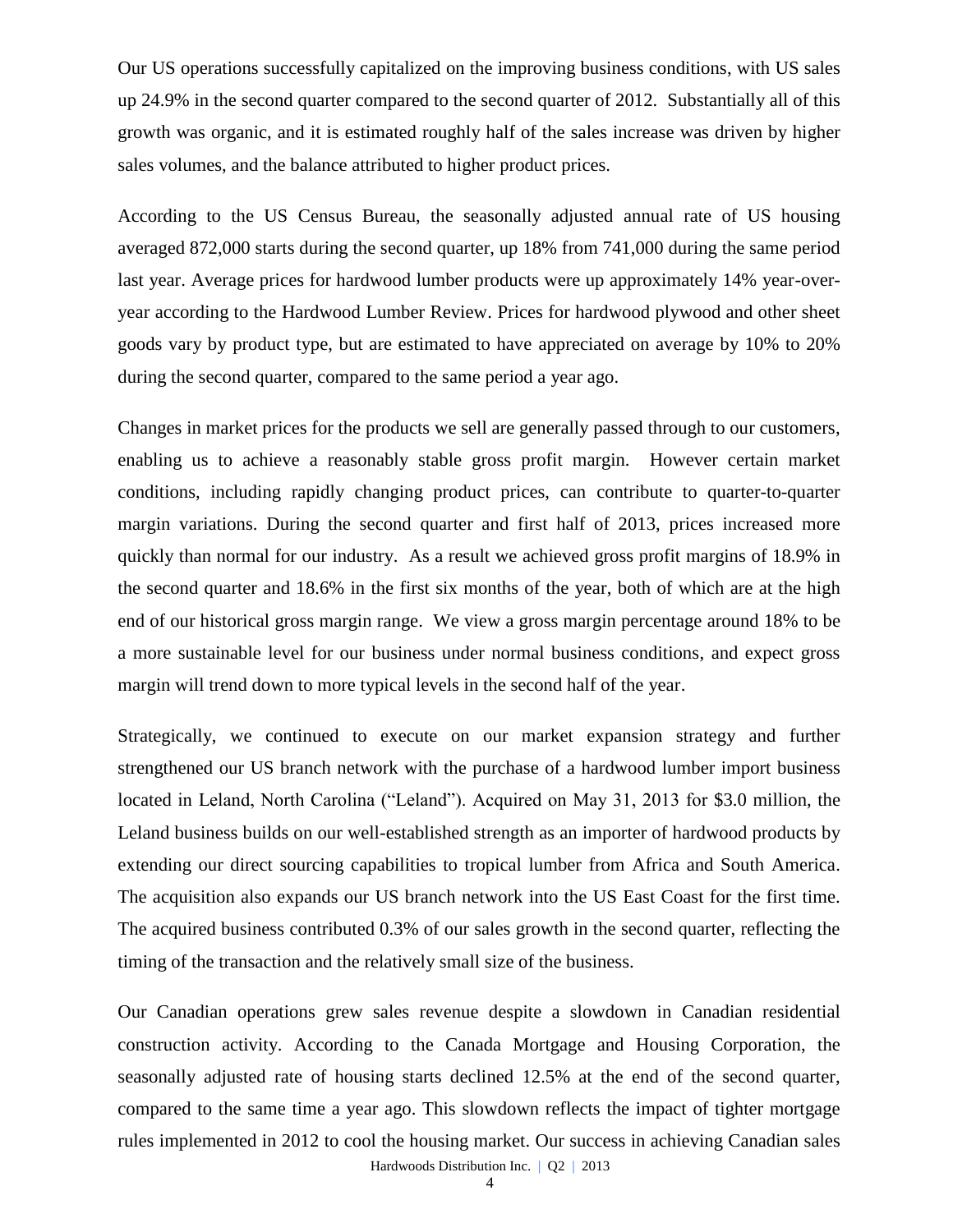Our US operations successfully capitalized on the improving business conditions, with US sales up 24.9% in the second quarter compared to the second quarter of 2012. Substantially all of this growth was organic, and it is estimated roughly half of the sales increase was driven by higher sales volumes, and the balance attributed to higher product prices.

According to the US Census Bureau, the seasonally adjusted annual rate of US housing averaged 872,000 starts during the second quarter, up 18% from 741,000 during the same period last year. Average prices for hardwood lumber products were up approximately 14% year-overyear according to the Hardwood Lumber Review. Prices for hardwood plywood and other sheet goods vary by product type, but are estimated to have appreciated on average by 10% to 20% during the second quarter, compared to the same period a year ago.

Changes in market prices for the products we sell are generally passed through to our customers, enabling us to achieve a reasonably stable gross profit margin. However certain market conditions, including rapidly changing product prices, can contribute to quarter-to-quarter margin variations. During the second quarter and first half of 2013, prices increased more quickly than normal for our industry. As a result we achieved gross profit margins of 18.9% in the second quarter and 18.6% in the first six months of the year, both of which are at the high end of our historical gross margin range. We view a gross margin percentage around 18% to be a more sustainable level for our business under normal business conditions, and expect gross margin will trend down to more typical levels in the second half of the year.

Strategically, we continued to execute on our market expansion strategy and further strengthened our US branch network with the purchase of a hardwood lumber import business located in Leland, North Carolina ("Leland"). Acquired on May 31, 2013 for \$3.0 million, the Leland business builds on our well-established strength as an importer of hardwood products by extending our direct sourcing capabilities to tropical lumber from Africa and South America. The acquisition also expands our US branch network into the US East Coast for the first time. The acquired business contributed 0.3% of our sales growth in the second quarter, reflecting the timing of the transaction and the relatively small size of the business.

Our Canadian operations grew sales revenue despite a slowdown in Canadian residential construction activity. According to the Canada Mortgage and Housing Corporation, the seasonally adjusted rate of housing starts declined 12.5% at the end of the second quarter, compared to the same time a year ago. This slowdown reflects the impact of tighter mortgage rules implemented in 2012 to cool the housing market. Our success in achieving Canadian sales

Hardwoods Distribution Inc. | Q2 | 2013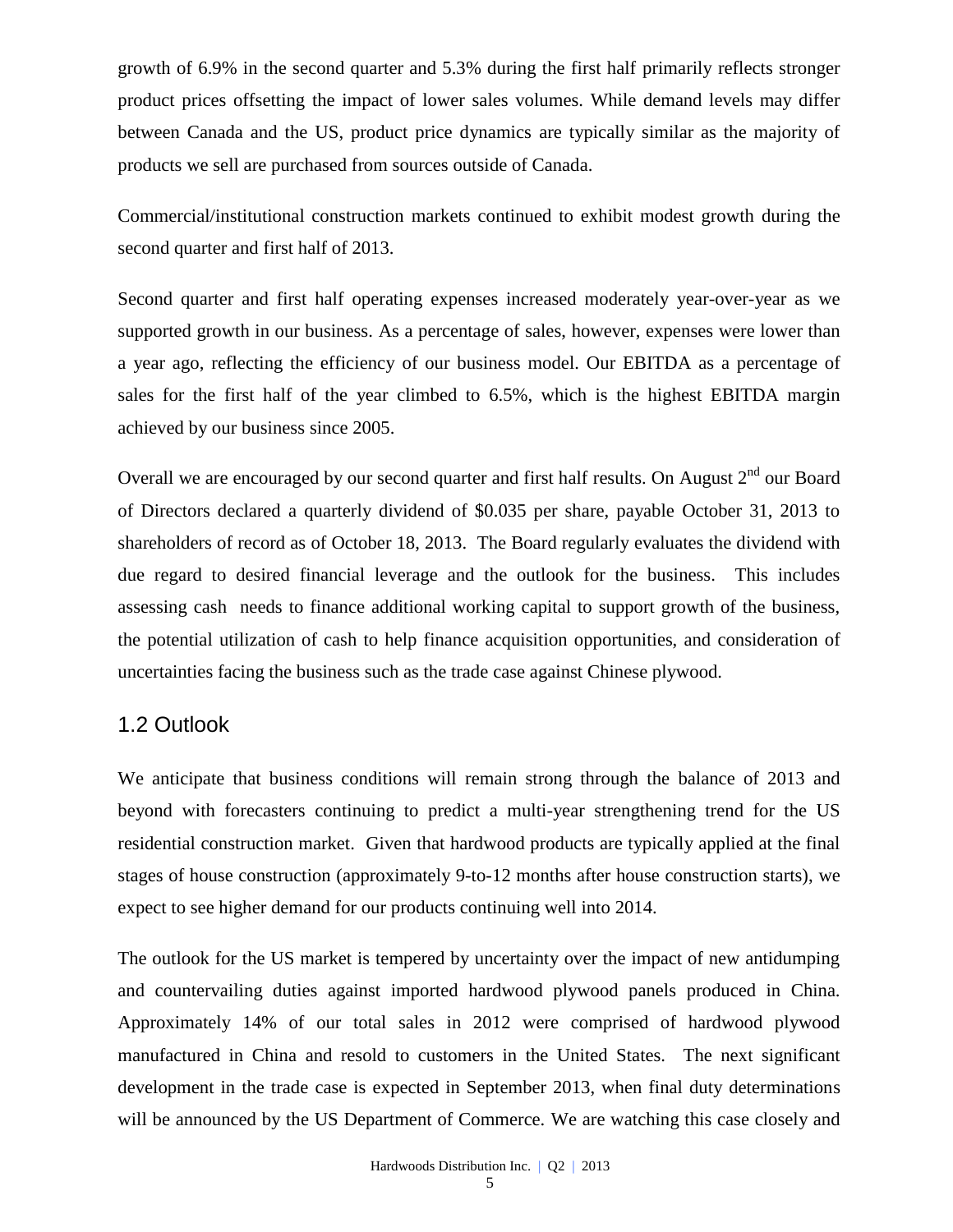growth of 6.9% in the second quarter and 5.3% during the first half primarily reflects stronger product prices offsetting the impact of lower sales volumes. While demand levels may differ between Canada and the US, product price dynamics are typically similar as the majority of products we sell are purchased from sources outside of Canada.

Commercial/institutional construction markets continued to exhibit modest growth during the second quarter and first half of 2013.

Second quarter and first half operating expenses increased moderately year-over-year as we supported growth in our business. As a percentage of sales, however, expenses were lower than a year ago, reflecting the efficiency of our business model. Our EBITDA as a percentage of sales for the first half of the year climbed to 6.5%, which is the highest EBITDA margin achieved by our business since 2005.

Overall we are encouraged by our second quarter and first half results. On August  $2<sup>nd</sup>$  our Board of Directors declared a quarterly dividend of \$0.035 per share, payable October 31, 2013 to shareholders of record as of October 18, 2013. The Board regularly evaluates the dividend with due regard to desired financial leverage and the outlook for the business. This includes assessing cash needs to finance additional working capital to support growth of the business, the potential utilization of cash to help finance acquisition opportunities, and consideration of uncertainties facing the business such as the trade case against Chinese plywood.

## 1.2 Outlook

We anticipate that business conditions will remain strong through the balance of 2013 and beyond with forecasters continuing to predict a multi-year strengthening trend for the US residential construction market. Given that hardwood products are typically applied at the final stages of house construction (approximately 9-to-12 months after house construction starts), we expect to see higher demand for our products continuing well into 2014.

The outlook for the US market is tempered by uncertainty over the impact of new antidumping and countervailing duties against imported hardwood plywood panels produced in China. Approximately 14% of our total sales in 2012 were comprised of hardwood plywood manufactured in China and resold to customers in the United States. The next significant development in the trade case is expected in September 2013, when final duty determinations will be announced by the US Department of Commerce. We are watching this case closely and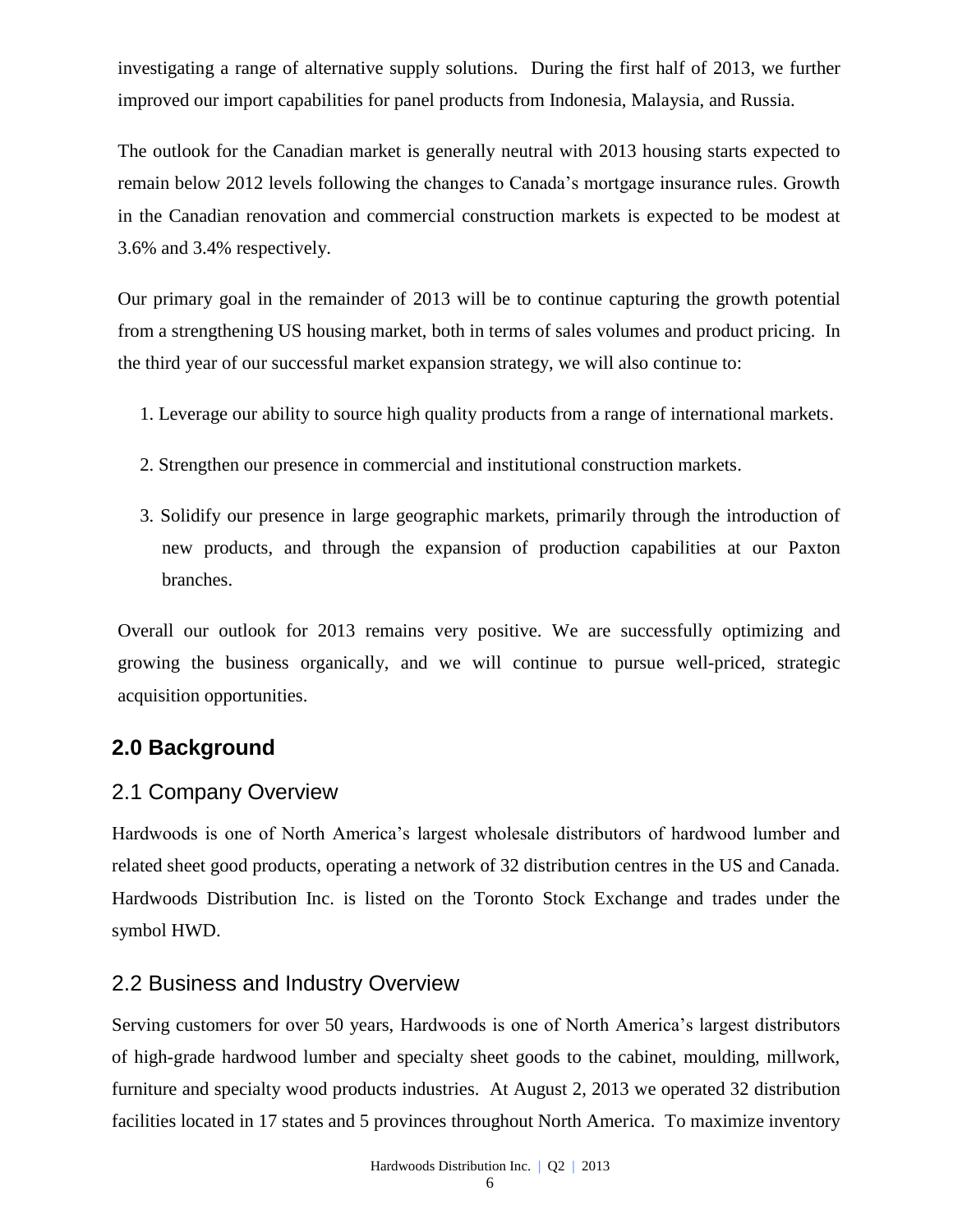investigating a range of alternative supply solutions. During the first half of 2013, we further improved our import capabilities for panel products from Indonesia, Malaysia, and Russia.

The outlook for the Canadian market is generally neutral with 2013 housing starts expected to remain below 2012 levels following the changes to Canada's mortgage insurance rules. Growth in the Canadian renovation and commercial construction markets is expected to be modest at 3.6% and 3.4% respectively.

Our primary goal in the remainder of 2013 will be to continue capturing the growth potential from a strengthening US housing market, both in terms of sales volumes and product pricing. In the third year of our successful market expansion strategy, we will also continue to:

- 1. Leverage our ability to source high quality products from a range of international markets.
- 2. Strengthen our presence in commercial and institutional construction markets.
- 3. Solidify our presence in large geographic markets, primarily through the introduction of new products, and through the expansion of production capabilities at our Paxton branches.

Overall our outlook for 2013 remains very positive. We are successfully optimizing and growing the business organically, and we will continue to pursue well-priced, strategic acquisition opportunities.

## **2.0 Background**

## 2.1 Company Overview

Hardwoods is one of North America's largest wholesale distributors of hardwood lumber and related sheet good products, operating a network of 32 distribution centres in the US and Canada. Hardwoods Distribution Inc. is listed on the [Toronto Stock Exchange and trades under the](http://tmx.quotemedia.com/quote.php?qm_symbol=TPK&locale=EN)  [symbol](http://tmx.quotemedia.com/quote.php?qm_symbol=TPK&locale=EN) HWD.

## 2.2 Business and Industry Overview

Serving customers for over 50 years, Hardwoods is one of North America's largest distributors of high-grade hardwood lumber and specialty sheet goods to the cabinet, moulding, millwork, furniture and specialty wood products industries. At August 2, 2013 we operated 32 distribution facilities located in 17 states and 5 provinces throughout North America. To maximize inventory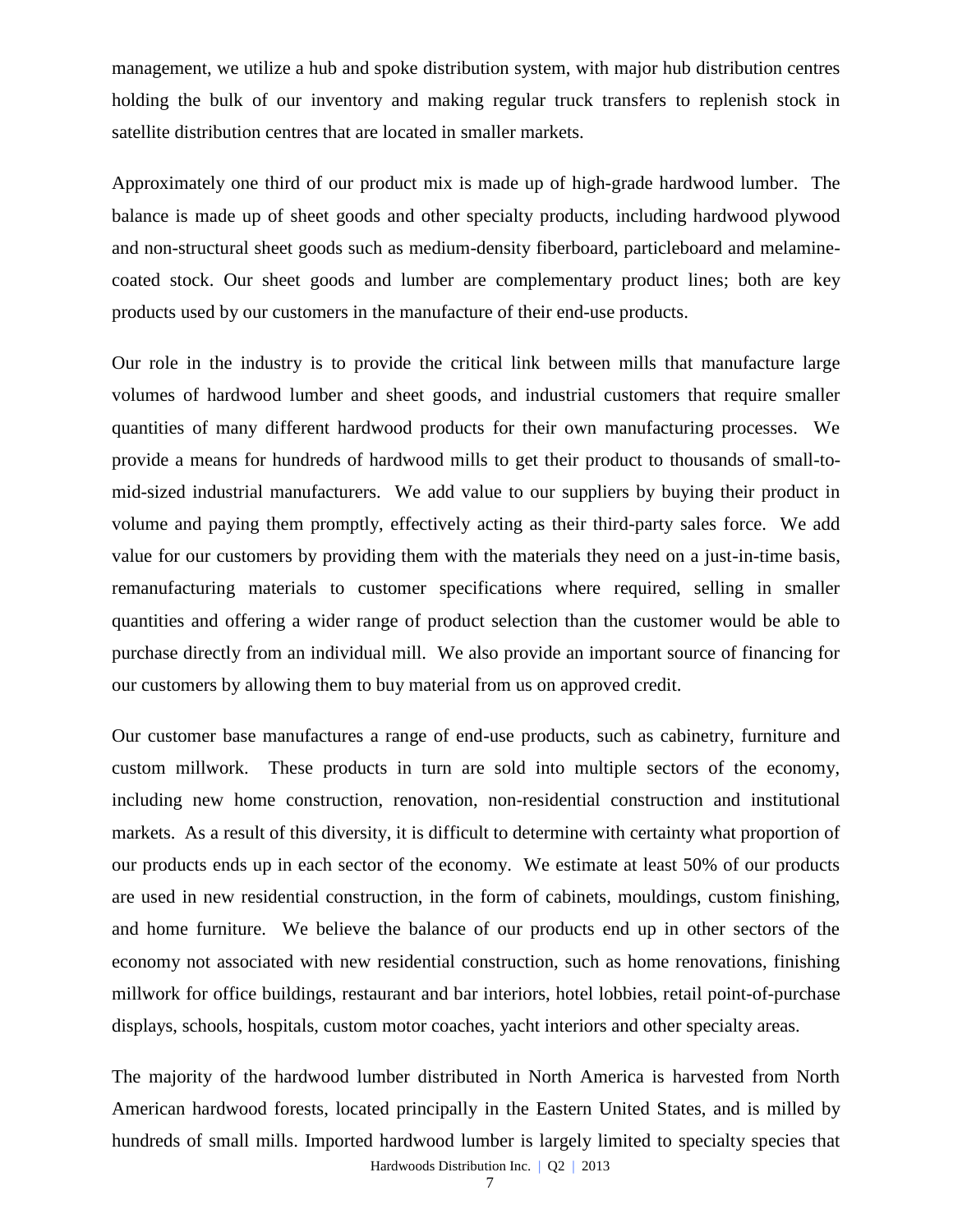management, we utilize a hub and spoke distribution system, with major hub distribution centres holding the bulk of our inventory and making regular truck transfers to replenish stock in satellite distribution centres that are located in smaller markets.

Approximately one third of our product mix is made up of high-grade hardwood lumber. The balance is made up of sheet goods and other specialty products, including hardwood plywood and non-structural sheet goods such as medium-density fiberboard, particleboard and melaminecoated stock. Our sheet goods and lumber are complementary product lines; both are key products used by our customers in the manufacture of their end-use products.

Our role in the industry is to provide the critical link between mills that manufacture large volumes of hardwood lumber and sheet goods, and industrial customers that require smaller quantities of many different hardwood products for their own manufacturing processes. We provide a means for hundreds of hardwood mills to get their product to thousands of small-tomid-sized industrial manufacturers. We add value to our suppliers by buying their product in volume and paying them promptly, effectively acting as their third-party sales force. We add value for our customers by providing them with the materials they need on a just-in-time basis, remanufacturing materials to customer specifications where required, selling in smaller quantities and offering a wider range of product selection than the customer would be able to purchase directly from an individual mill. We also provide an important source of financing for our customers by allowing them to buy material from us on approved credit.

Our customer base manufactures a range of end-use products, such as cabinetry, furniture and custom millwork. These products in turn are sold into multiple sectors of the economy, including new home construction, renovation, non-residential construction and institutional markets. As a result of this diversity, it is difficult to determine with certainty what proportion of our products ends up in each sector of the economy. We estimate at least 50% of our products are used in new residential construction, in the form of cabinets, mouldings, custom finishing, and home furniture. We believe the balance of our products end up in other sectors of the economy not associated with new residential construction, such as home renovations, finishing millwork for office buildings, restaurant and bar interiors, hotel lobbies, retail point-of-purchase displays, schools, hospitals, custom motor coaches, yacht interiors and other specialty areas.

The majority of the hardwood lumber distributed in North America is harvested from North American hardwood forests, located principally in the Eastern United States, and is milled by hundreds of small mills. Imported hardwood lumber is largely limited to specialty species that

Hardwoods Distribution Inc. | Q2 | 2013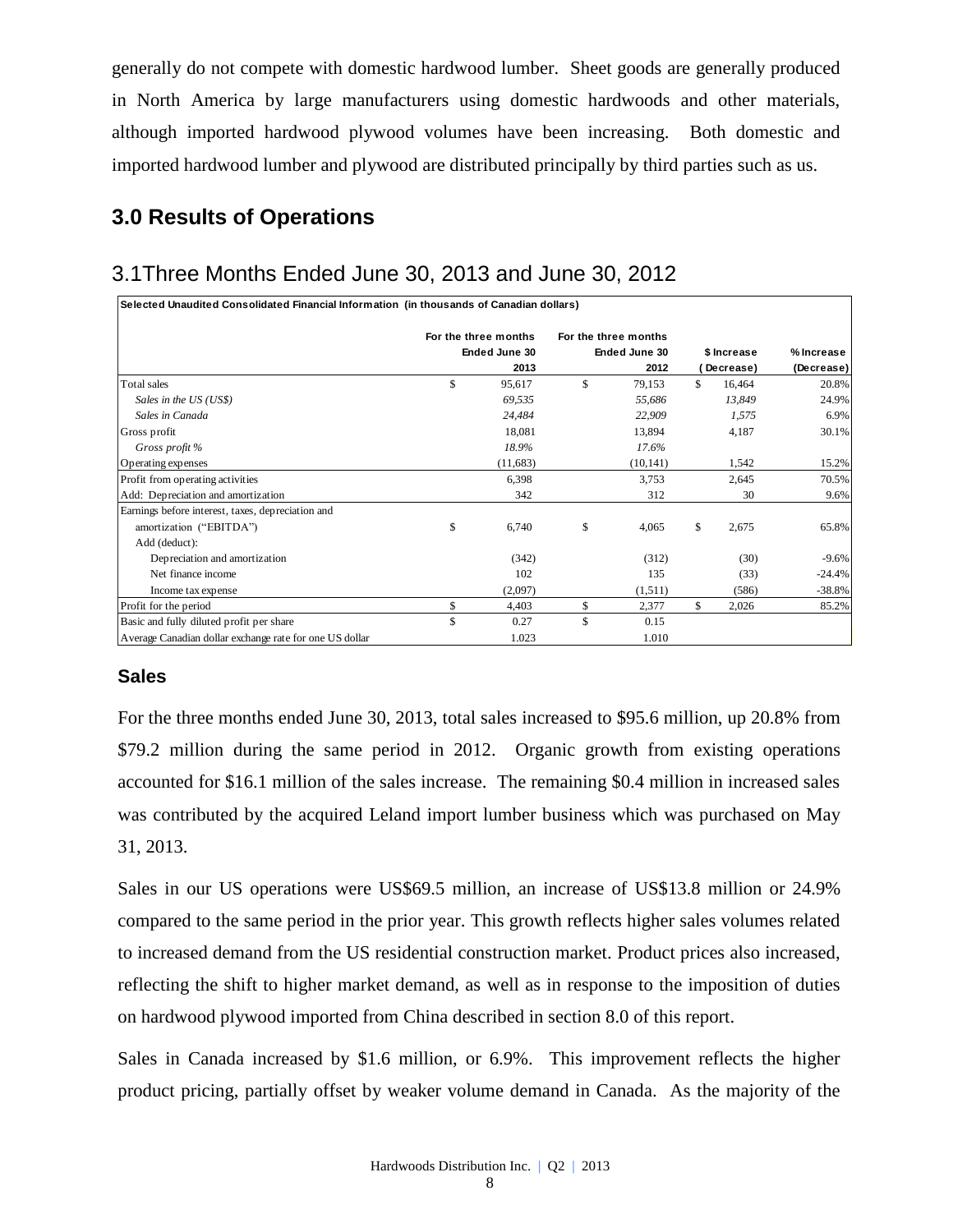generally do not compete with domestic hardwood lumber. Sheet goods are generally produced in North America by large manufacturers using domestic hardwoods and other materials, although imported hardwood plywood volumes have been increasing. Both domestic and imported hardwood lumber and plywood are distributed principally by third parties such as us.

# **3.0 Results of Operations**

# 3.1Three Months Ended June 30, 2013 and June 30, 2012

| Selected Unaudited Consolidated Financial Information (in thousands of Canadian dollars) |                      |     |                      |             |           |            |
|------------------------------------------------------------------------------------------|----------------------|-----|----------------------|-------------|-----------|------------|
|                                                                                          | For the three months |     | For the three months |             |           |            |
|                                                                                          | Ended June 30        |     | Ended June 30        | \$ Increase |           | % Increase |
|                                                                                          | 2013                 |     | 2012                 |             | Decrease) | (Decrease) |
| Total sales                                                                              | \$<br>95,617         | \$. | 79,153               | \$.         | 16,464    | 20.8%      |
| Sales in the US (US\$)                                                                   | 69,535               |     | 55,686               |             | 13,849    | 24.9%      |
| Sales in Canada                                                                          | 24,484               |     | 22,909               |             | 1,575     | 6.9%       |
| Gross profit                                                                             | 18,081               |     | 13,894               |             | 4,187     | 30.1%      |
| Gross profit %                                                                           | 18.9%                |     | 17.6%                |             |           |            |
| Operating expenses                                                                       | (11, 683)            |     | (10, 141)            |             | 1,542     | 15.2%      |
| Profit from operating activities                                                         | 6,398                |     | 3,753                |             | 2,645     | 70.5%      |
| Add: Depreciation and amortization                                                       | 342                  |     | 312                  |             | 30        | 9.6%       |
| Earnings before interest, taxes, depreciation and                                        |                      |     |                      |             |           |            |
| amortization ("EBITDA")                                                                  | \$<br>6,740          | \$  | 4,065                | \$          | 2,675     | 65.8%      |
| Add (deduct):                                                                            |                      |     |                      |             |           |            |
| Depreciation and amortization                                                            | (342)                |     | (312)                |             | (30)      | $-9.6%$    |
| Net finance income                                                                       | 102                  |     | 135                  |             | (33)      | $-24.4%$   |
| Income tax expense                                                                       | (2,097)              |     | (1,511)              |             | (586)     | $-38.8%$   |
| Profit for the period                                                                    | \$<br>4,403          | \$  | 2,377                | \$          | 2,026     | 85.2%      |
| Basic and fully diluted profit per share                                                 | \$<br>0.27           | \$  | 0.15                 |             |           |            |
| Average Canadian dollar exchange rate for one US dollar                                  | 1.023                |     | 1.010                |             |           |            |

## **Sales**

For the three months ended June 30, 2013, total sales increased to \$95.6 million, up 20.8% from \$79.2 million during the same period in 2012. Organic growth from existing operations accounted for \$16.1 million of the sales increase. The remaining \$0.4 million in increased sales was contributed by the acquired Leland import lumber business which was purchased on May 31, 2013.

Sales in our US operations were US\$69.5 million, an increase of US\$13.8 million or 24.9% compared to the same period in the prior year. This growth reflects higher sales volumes related to increased demand from the US residential construction market. Product prices also increased, reflecting the shift to higher market demand, as well as in response to the imposition of duties on hardwood plywood imported from China described in section 8.0 of this report.

Sales in Canada increased by \$1.6 million, or 6.9%. This improvement reflects the higher product pricing, partially offset by weaker volume demand in Canada. As the majority of the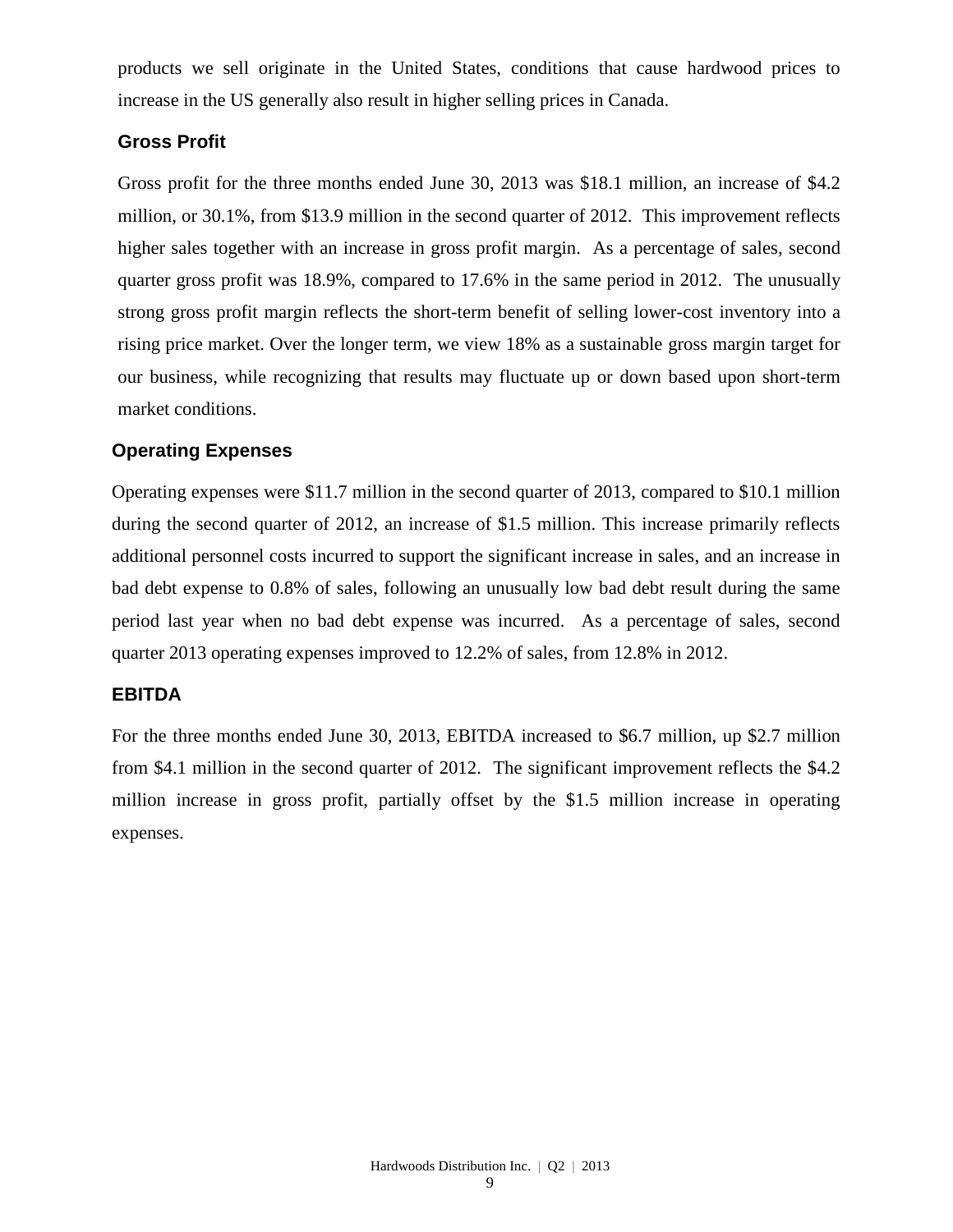products we sell originate in the United States, conditions that cause hardwood prices to increase in the US generally also result in higher selling prices in Canada.

### **Gross Profit**

Gross profit for the three months ended June 30, 2013 was \$18.1 million, an increase of \$4.2 million, or 30.1%, from \$13.9 million in the second quarter of 2012. This improvement reflects higher sales together with an increase in gross profit margin. As a percentage of sales, second quarter gross profit was 18.9%, compared to 17.6% in the same period in 2012. The unusually strong gross profit margin reflects the short-term benefit of selling lower-cost inventory into a rising price market. Over the longer term, we view 18% as a sustainable gross margin target for our business, while recognizing that results may fluctuate up or down based upon short-term market conditions.

### **Operating Expenses**

Operating expenses were \$11.7 million in the second quarter of 2013, compared to \$10.1 million during the second quarter of 2012, an increase of \$1.5 million. This increase primarily reflects additional personnel costs incurred to support the significant increase in sales, and an increase in bad debt expense to 0.8% of sales, following an unusually low bad debt result during the same period last year when no bad debt expense was incurred. As a percentage of sales, second quarter 2013 operating expenses improved to 12.2% of sales, from 12.8% in 2012.

### **EBITDA**

For the three months ended June 30, 2013, EBITDA increased to \$6.7 million, up \$2.7 million from \$4.1 million in the second quarter of 2012. The significant improvement reflects the \$4.2 million increase in gross profit, partially offset by the \$1.5 million increase in operating expenses.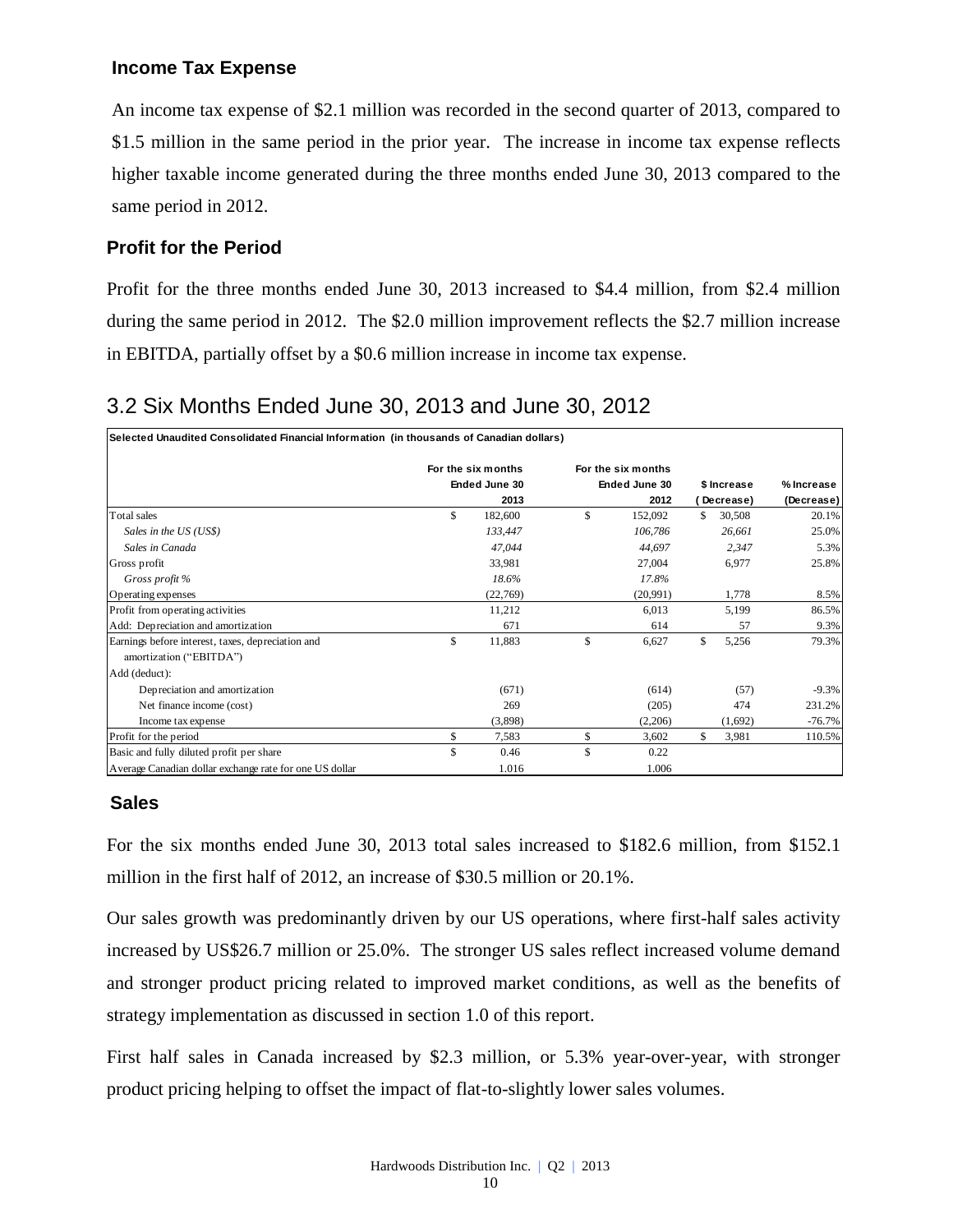## **Income Tax Expense**

An income tax expense of \$2.1 million was recorded in the second quarter of 2013, compared to \$1.5 million in the same period in the prior year. The increase in income tax expense reflects higher taxable income generated during the three months ended June 30, 2013 compared to the same period in 2012.

## **Profit for the Period**

Profit for the three months ended June 30, 2013 increased to \$4.4 million, from \$2.4 million during the same period in 2012. The \$2.0 million improvement reflects the \$2.7 million increase in EBITDA, partially offset by a \$0.6 million increase in income tax expense.

# 3.2 Six Months Ended June 30, 2013 and June 30, 2012

| Selected Unaudited Consolidated Financial Information (in thousands of Canadian dollars) |                    |               |                    |              |             |            |
|------------------------------------------------------------------------------------------|--------------------|---------------|--------------------|--------------|-------------|------------|
|                                                                                          | For the six months |               | For the six months |              |             |            |
|                                                                                          | Ended June 30      |               | Ended June 30      |              | \$ Increase | % Increase |
|                                                                                          | 2013               |               | 2012               |              | Decrease)   | (Decrease) |
| Total sales                                                                              | \$<br>182,600      | $\mathcal{S}$ | 152,092            | \$.          | 30,508      | 20.1%      |
| Sales in the US (US\$)                                                                   | 133,447            |               | 106,786            |              | 26,661      | 25.0%      |
| Sales in Canada                                                                          | 47,044             |               | 44,697             |              | 2,347       | 5.3%       |
| Gross profit                                                                             | 33,981             |               | 27,004             |              | 6,977       | 25.8%      |
| Gross profit %                                                                           | 18.6%              |               | 17.8%              |              |             |            |
| Operating expenses                                                                       | (22,769)           |               | (20.991)           |              | 1,778       | 8.5%       |
| Profit from operating activities                                                         | 11,212             |               | 6,013              |              | 5,199       | 86.5%      |
| Add: Depreciation and amortization                                                       | 671                |               | 614                |              | 57          | 9.3%       |
| Earnings before interest, taxes, depreciation and                                        | \$<br>11,883       | \$            | 6,627              | $\mathbb{S}$ | 5,256       | 79.3%      |
| amortization ("EBITDA")                                                                  |                    |               |                    |              |             |            |
| Add (deduct):                                                                            |                    |               |                    |              |             |            |
| Depreciation and amortization                                                            | (671)              |               | (614)              |              | (57)        | $-9.3\%$   |
| Net finance income (cost)                                                                | 269                |               | (205)              |              | 474         | 231.2%     |
| Income tax expense                                                                       | (3,898)            |               | (2,206)            |              | (1,692)     | $-76.7%$   |
| Profit for the period                                                                    | \$<br>7,583        | \$            | 3,602              | \$           | 3,981       | 110.5%     |
| Basic and fully diluted profit per share                                                 | \$<br>0.46         | \$            | 0.22               |              |             |            |
| Average Canadian dollar exchange rate for one US dollar                                  | 1.016              |               | 1.006              |              |             |            |

### **Sales**

For the six months ended June 30, 2013 total sales increased to \$182.6 million, from \$152.1 million in the first half of 2012, an increase of \$30.5 million or 20.1%.

Our sales growth was predominantly driven by our US operations, where first-half sales activity increased by US\$26.7 million or 25.0%. The stronger US sales reflect increased volume demand and stronger product pricing related to improved market conditions, as well as the benefits of strategy implementation as discussed in section 1.0 of this report.

First half sales in Canada increased by \$2.3 million, or 5.3% year-over-year, with stronger product pricing helping to offset the impact of flat-to-slightly lower sales volumes.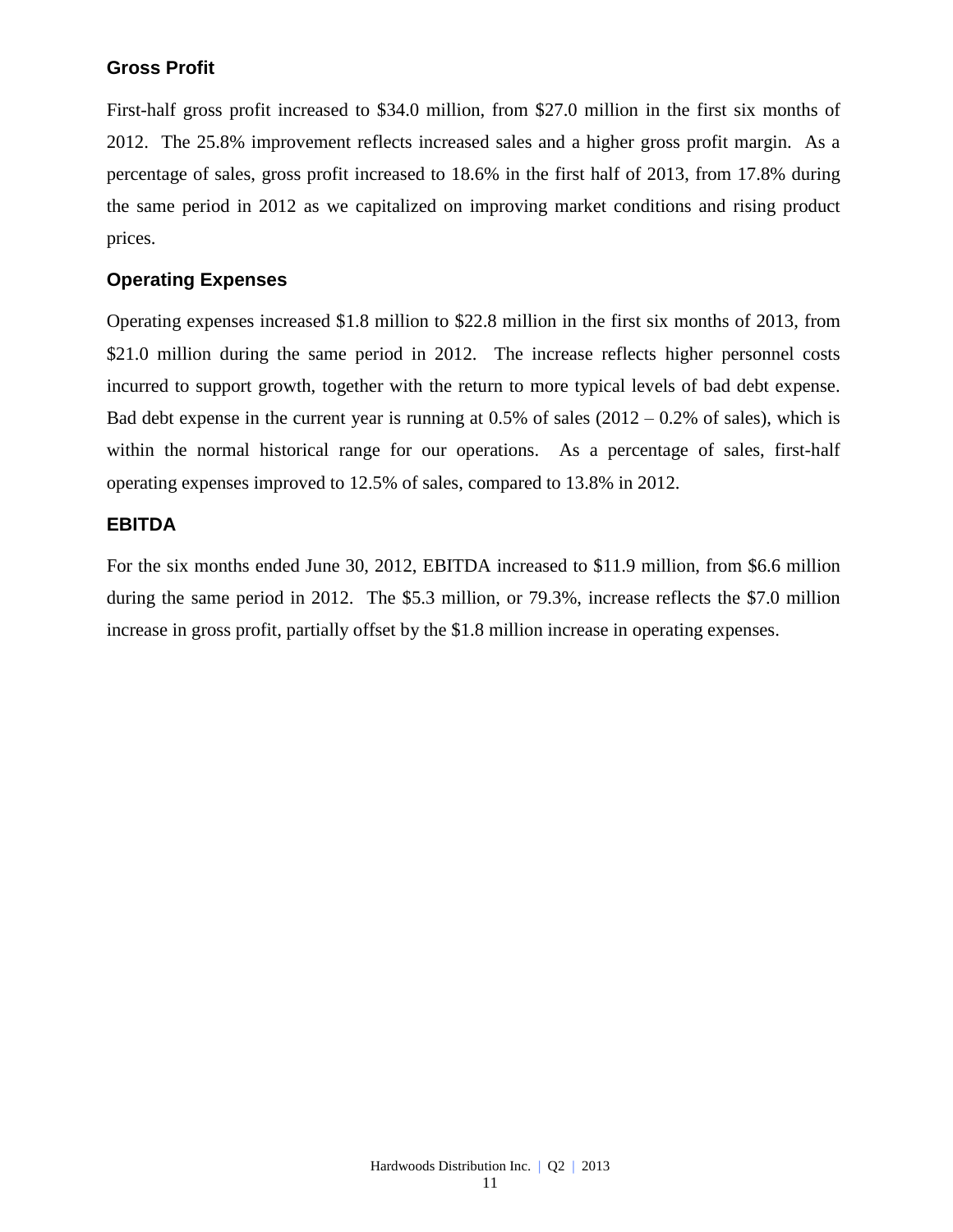## **Gross Profit**

First-half gross profit increased to \$34.0 million, from \$27.0 million in the first six months of 2012. The 25.8% improvement reflects increased sales and a higher gross profit margin. As a percentage of sales, gross profit increased to 18.6% in the first half of 2013, from 17.8% during the same period in 2012 as we capitalized on improving market conditions and rising product prices.

## **Operating Expenses**

Operating expenses increased \$1.8 million to \$22.8 million in the first six months of 2013, from \$21.0 million during the same period in 2012. The increase reflects higher personnel costs incurred to support growth, together with the return to more typical levels of bad debt expense. Bad debt expense in the current year is running at  $0.5\%$  of sales  $(2012 - 0.2\%$  of sales), which is within the normal historical range for our operations. As a percentage of sales, first-half operating expenses improved to 12.5% of sales, compared to 13.8% in 2012.

### **EBITDA**

For the six months ended June 30, 2012, EBITDA increased to \$11.9 million, from \$6.6 million during the same period in 2012. The \$5.3 million, or 79.3%, increase reflects the \$7.0 million increase in gross profit, partially offset by the \$1.8 million increase in operating expenses.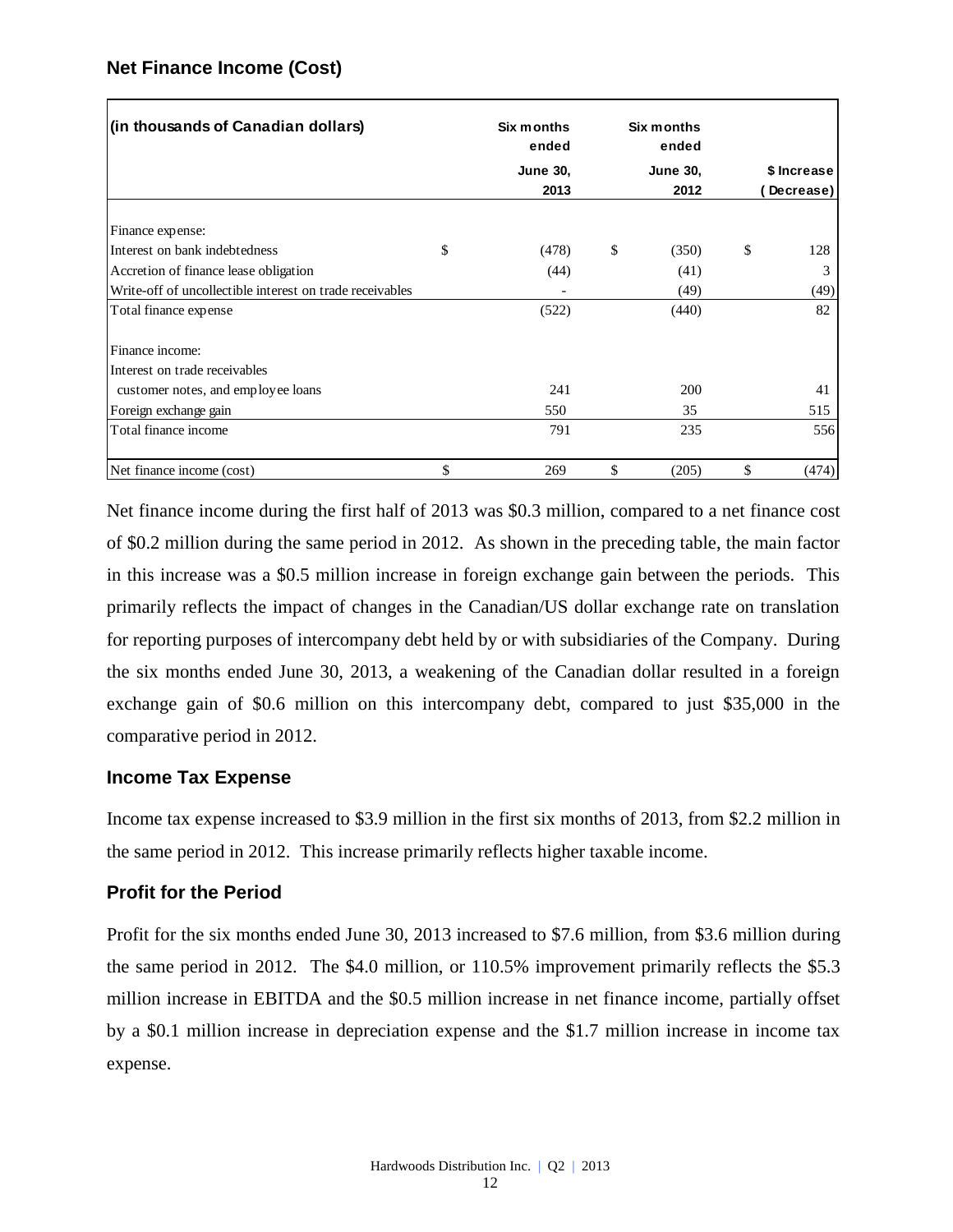## **Net Finance Income (Cost)**

| (in thousands of Canadian dollars)                       | Six months<br>ended | <b>Six months</b><br>ended |             |
|----------------------------------------------------------|---------------------|----------------------------|-------------|
|                                                          | <b>June 30,</b>     | <b>June 30,</b>            | \$ Increase |
|                                                          | 2013                | 2012                       | Decrease)   |
| Finance expense:                                         |                     |                            |             |
| Interest on bank indebtedness                            | \$<br>(478)         | \$<br>(350)                | \$<br>128   |
| Accretion of finance lease obligation                    | (44)                | (41)                       | 3           |
| Write-off of uncollectible interest on trade receivables |                     | (49)                       | (49)        |
| Total finance expense                                    | (522)               | (440)                      | 82          |
| Finance income:                                          |                     |                            |             |
| Interest on trade receivables                            |                     |                            |             |
| customer notes, and employee loans                       | 241                 | 200                        | 41          |
| Foreign exchange gain                                    | 550                 | 35                         | 515         |
| Total finance income                                     | 791                 | 235                        | 556         |
| Net finance income (cost)                                | \$<br>269           | \$<br>(205)                | \$<br>(474) |

Net finance income during the first half of 2013 was \$0.3 million, compared to a net finance cost of \$0.2 million during the same period in 2012. As shown in the preceding table, the main factor in this increase was a \$0.5 million increase in foreign exchange gain between the periods. This primarily reflects the impact of changes in the Canadian/US dollar exchange rate on translation for reporting purposes of intercompany debt held by or with subsidiaries of the Company. During the six months ended June 30, 2013, a weakening of the Canadian dollar resulted in a foreign exchange gain of \$0.6 million on this intercompany debt, compared to just \$35,000 in the comparative period in 2012.

### **Income Tax Expense**

Income tax expense increased to \$3.9 million in the first six months of 2013, from \$2.2 million in the same period in 2012. This increase primarily reflects higher taxable income.

### **Profit for the Period**

Profit for the six months ended June 30, 2013 increased to \$7.6 million, from \$3.6 million during the same period in 2012. The \$4.0 million, or 110.5% improvement primarily reflects the \$5.3 million increase in EBITDA and the \$0.5 million increase in net finance income, partially offset by a \$0.1 million increase in depreciation expense and the \$1.7 million increase in income tax expense.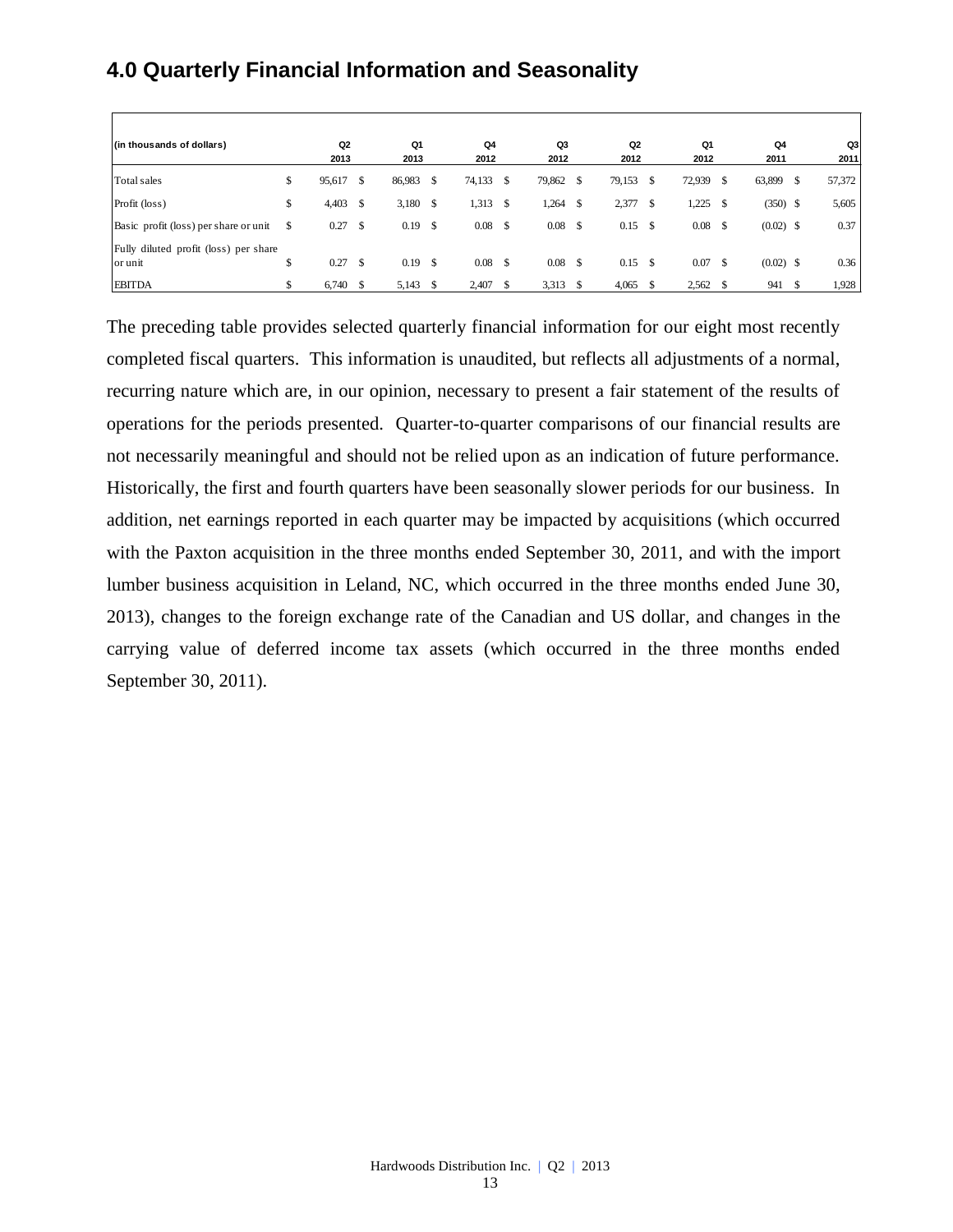# **4.0 Quarterly Financial Information and Seasonality**

| (in thousands of dollars)                        | Q <sub>2</sub> | Q1              |    | Q <sub>4</sub> |               | Q3     |      | Q <sub>2</sub> |      | Q1     | Q <sub>4</sub>    |    | Q3     |
|--------------------------------------------------|----------------|-----------------|----|----------------|---------------|--------|------|----------------|------|--------|-------------------|----|--------|
|                                                  | 2013           | 2013            |    | 2012           |               | 2012   |      | 2012           |      | 2012   | 2011              |    | 2011   |
| Total sales                                      | \$<br>95,617   | \$<br>86,983    | S  | 74,133         | \$            | 79,862 | - \$ | 79,153         | \$   | 72,939 | \$<br>63,899      | \$ | 57,372 |
| Profit (loss)                                    | \$<br>4,403    | \$<br>3,180     | -S | 1,313          | \$            | 1,264  | S    | 2,377          | - \$ | 1,225  | \$<br>$(350)$ \$  |    | 5,605  |
| Basic profit (loss) per share or unit            | 0.27           | \$<br>0.19      | \$ | 0.08           | $\mathcal{S}$ | 0.08   | - \$ | $0.15$ \$      |      | 0.08   | $(0.02)$ \$       |    | 0.37   |
| Fully diluted profit (loss) per share<br>or unit | \$<br>0.27     | \$<br>$0.19$ \$ |    | 0.08           | \$            | 0.08   | - \$ | $0.15$ \$      |      | 0.07   | \$<br>$(0.02)$ \$ |    | 0.36   |
| <b>EBITDA</b>                                    | 6,740          | 5,143           |    | 2,407          |               | 3,313  |      | 4,065          |      | 2,562  | 941               | -S | 1,928  |

The preceding table provides selected quarterly financial information for our eight most recently completed fiscal quarters. This information is unaudited, but reflects all adjustments of a normal, recurring nature which are, in our opinion, necessary to present a fair statement of the results of operations for the periods presented. Quarter-to-quarter comparisons of our financial results are not necessarily meaningful and should not be relied upon as an indication of future performance. Historically, the first and fourth quarters have been seasonally slower periods for our business. In addition, net earnings reported in each quarter may be impacted by acquisitions (which occurred with the Paxton acquisition in the three months ended September 30, 2011, and with the import lumber business acquisition in Leland, NC, which occurred in the three months ended June 30, 2013), changes to the foreign exchange rate of the Canadian and US dollar, and changes in the carrying value of deferred income tax assets (which occurred in the three months ended September 30, 2011).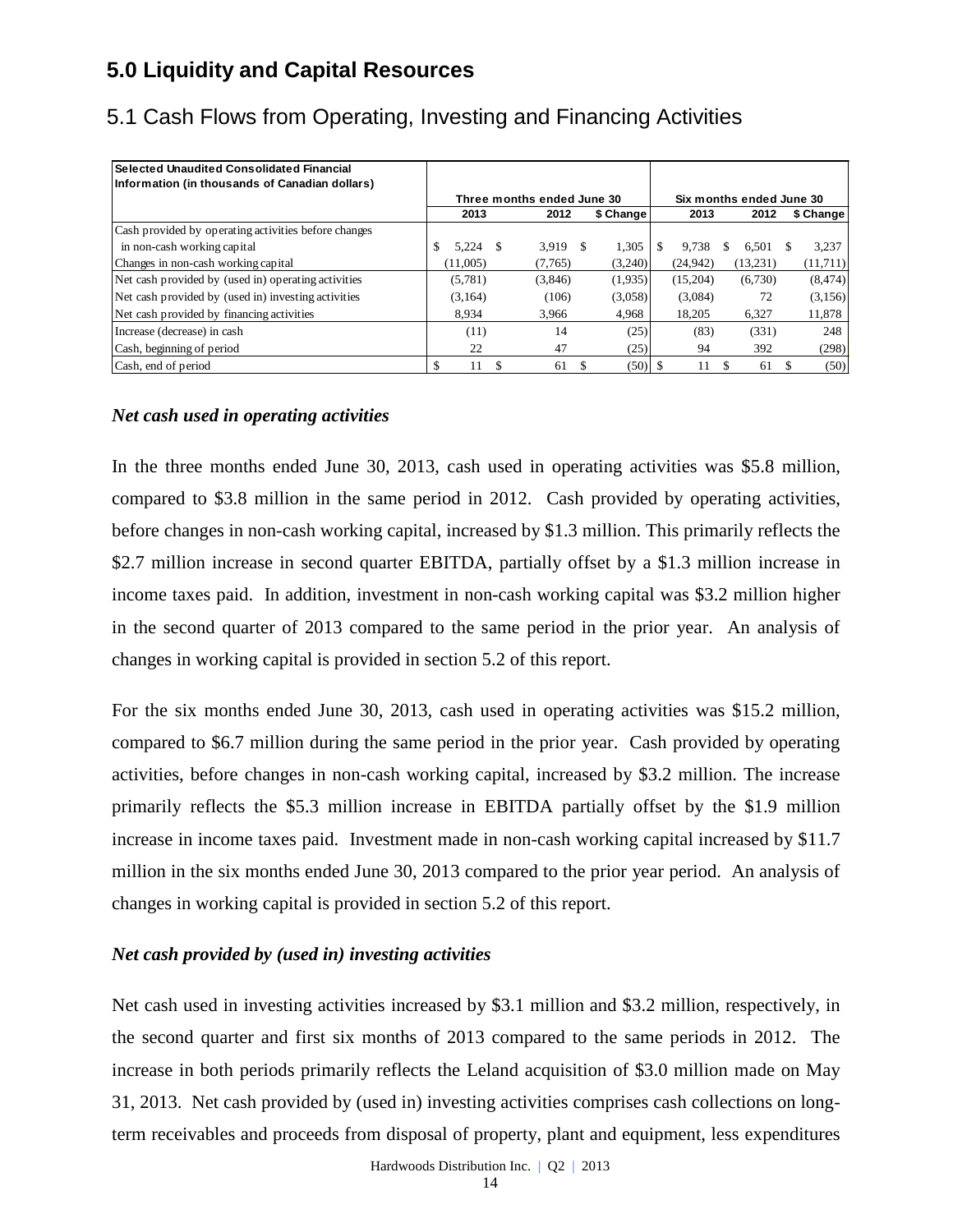# **5.0 Liquidity and Capital Resources**

| l Selected Unaudited Consolidated Financial          |              |    |                            |           |           |   |                          |           |
|------------------------------------------------------|--------------|----|----------------------------|-----------|-----------|---|--------------------------|-----------|
| Information (in thousands of Canadian dollars)       |              |    | Three months ended June 30 |           |           |   | Six months ended June 30 |           |
|                                                      | 2013         |    | 2012                       | \$ Change | 2013      |   | 2012                     | \$ Change |
| Cash provided by operating activities before changes |              |    |                            |           |           |   |                          |           |
| in non-cash working capital                          | 5.224<br>\$. | -S | 3.919 \$                   | 1,305     | 9.738     | S | 6.501                    | 3,237     |
| Changes in non-cash working capital                  | (11,005)     |    | (7,765)                    | (3,240)   | (24, 942) |   | (13,231)                 | (11,711)  |
| Net cash provided by (used in) operating activities  | (5,781)      |    | (3,846)                    | (1,935)   | (15,204)  |   | (6,730)                  | (8, 474)  |
| Net cash provided by (used in) investing activities  | (3,164)      |    | (106)                      | (3,058)   | (3,084)   |   | 72                       | (3, 156)  |
| Net cash provided by financing activities            | 8.934        |    | 3,966                      | 4.968     | 18.205    |   | 6,327                    | 11,878    |
| Increase (decrease) in cash                          | (11)         |    | 14                         | (25)      | (83)      |   | (331)                    | 248       |
| Cash, beginning of period                            | 22           |    | 47                         | (25)      | 94        |   | 392                      | (298)     |
| Cash, end of period                                  | 11           |    | 61                         |           | 11        |   | 61                       | (50)      |

# 5.1 Cash Flows from Operating, Investing and Financing Activities

### *Net cash used in operating activities*

In the three months ended June 30, 2013, cash used in operating activities was \$5.8 million, compared to \$3.8 million in the same period in 2012. Cash provided by operating activities, before changes in non-cash working capital, increased by \$1.3 million. This primarily reflects the \$2.7 million increase in second quarter EBITDA, partially offset by a \$1.3 million increase in income taxes paid. In addition, investment in non-cash working capital was \$3.2 million higher in the second quarter of 2013 compared to the same period in the prior year. An analysis of changes in working capital is provided in section 5.2 of this report.

For the six months ended June 30, 2013, cash used in operating activities was \$15.2 million, compared to \$6.7 million during the same period in the prior year. Cash provided by operating activities, before changes in non-cash working capital, increased by \$3.2 million. The increase primarily reflects the \$5.3 million increase in EBITDA partially offset by the \$1.9 million increase in income taxes paid. Investment made in non-cash working capital increased by \$11.7 million in the six months ended June 30, 2013 compared to the prior year period. An analysis of changes in working capital is provided in section 5.2 of this report.

### *Net cash provided by (used in) investing activities*

Net cash used in investing activities increased by \$3.1 million and \$3.2 million, respectively, in the second quarter and first six months of 2013 compared to the same periods in 2012. The increase in both periods primarily reflects the Leland acquisition of \$3.0 million made on May 31, 2013. Net cash provided by (used in) investing activities comprises cash collections on longterm receivables and proceeds from disposal of property, plant and equipment, less expenditures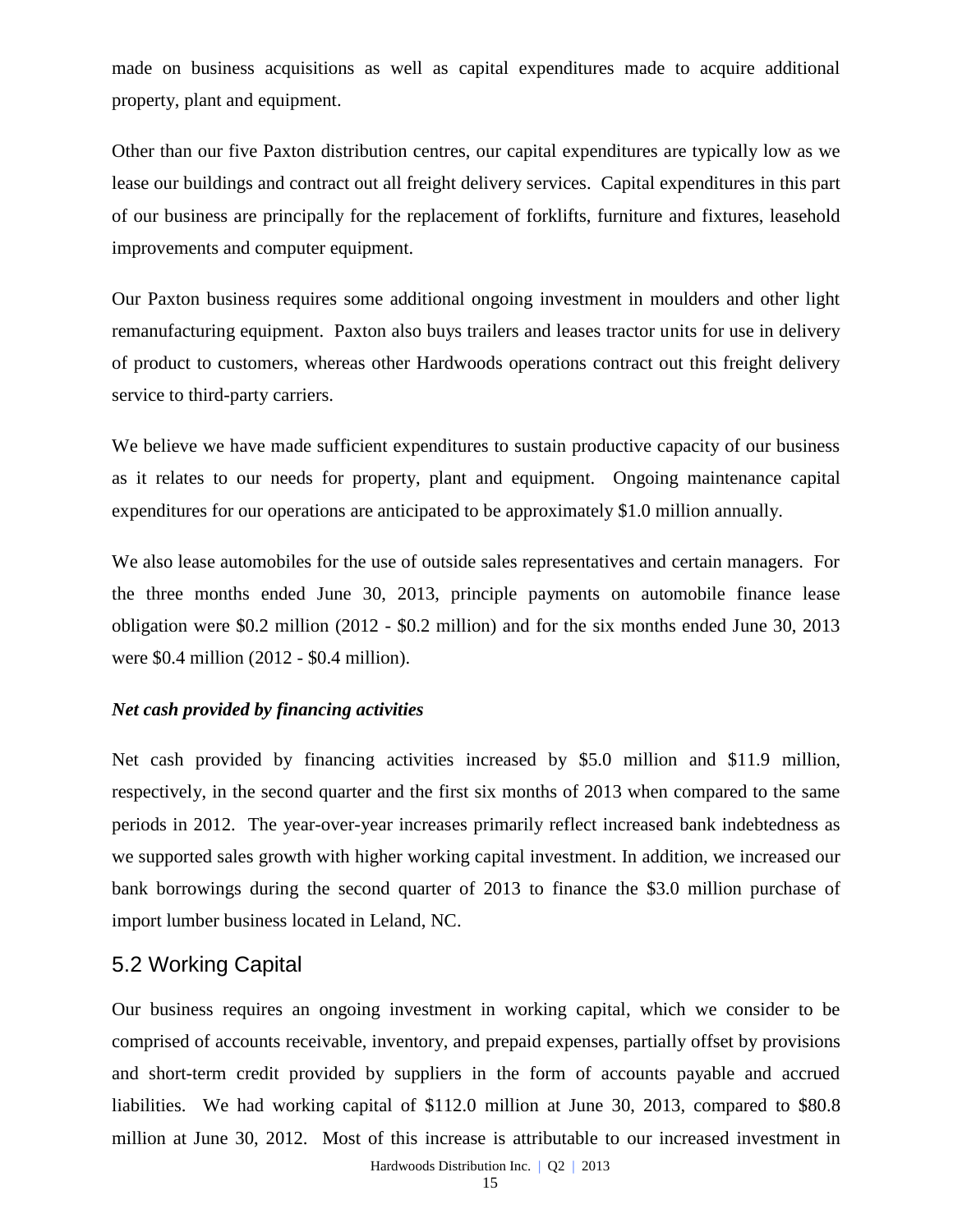made on business acquisitions as well as capital expenditures made to acquire additional property, plant and equipment.

Other than our five Paxton distribution centres, our capital expenditures are typically low as we lease our buildings and contract out all freight delivery services. Capital expenditures in this part of our business are principally for the replacement of forklifts, furniture and fixtures, leasehold improvements and computer equipment.

Our Paxton business requires some additional ongoing investment in moulders and other light remanufacturing equipment. Paxton also buys trailers and leases tractor units for use in delivery of product to customers, whereas other Hardwoods operations contract out this freight delivery service to third-party carriers.

We believe we have made sufficient expenditures to sustain productive capacity of our business as it relates to our needs for property, plant and equipment. Ongoing maintenance capital expenditures for our operations are anticipated to be approximately \$1.0 million annually.

We also lease automobiles for the use of outside sales representatives and certain managers. For the three months ended June 30, 2013, principle payments on automobile finance lease obligation were \$0.2 million (2012 - \$0.2 million) and for the six months ended June 30, 2013 were \$0.4 million (2012 - \$0.4 million).

#### *Net cash provided by financing activities*

Net cash provided by financing activities increased by \$5.0 million and \$11.9 million, respectively, in the second quarter and the first six months of 2013 when compared to the same periods in 2012. The year-over-year increases primarily reflect increased bank indebtedness as we supported sales growth with higher working capital investment. In addition, we increased our bank borrowings during the second quarter of 2013 to finance the \$3.0 million purchase of import lumber business located in Leland, NC.

### 5.2 Working Capital

Our business requires an ongoing investment in working capital, which we consider to be comprised of accounts receivable, inventory, and prepaid expenses, partially offset by provisions and short-term credit provided by suppliers in the form of accounts payable and accrued liabilities. We had working capital of \$112.0 million at June 30, 2013, compared to \$80.8 million at June 30, 2012. Most of this increase is attributable to our increased investment in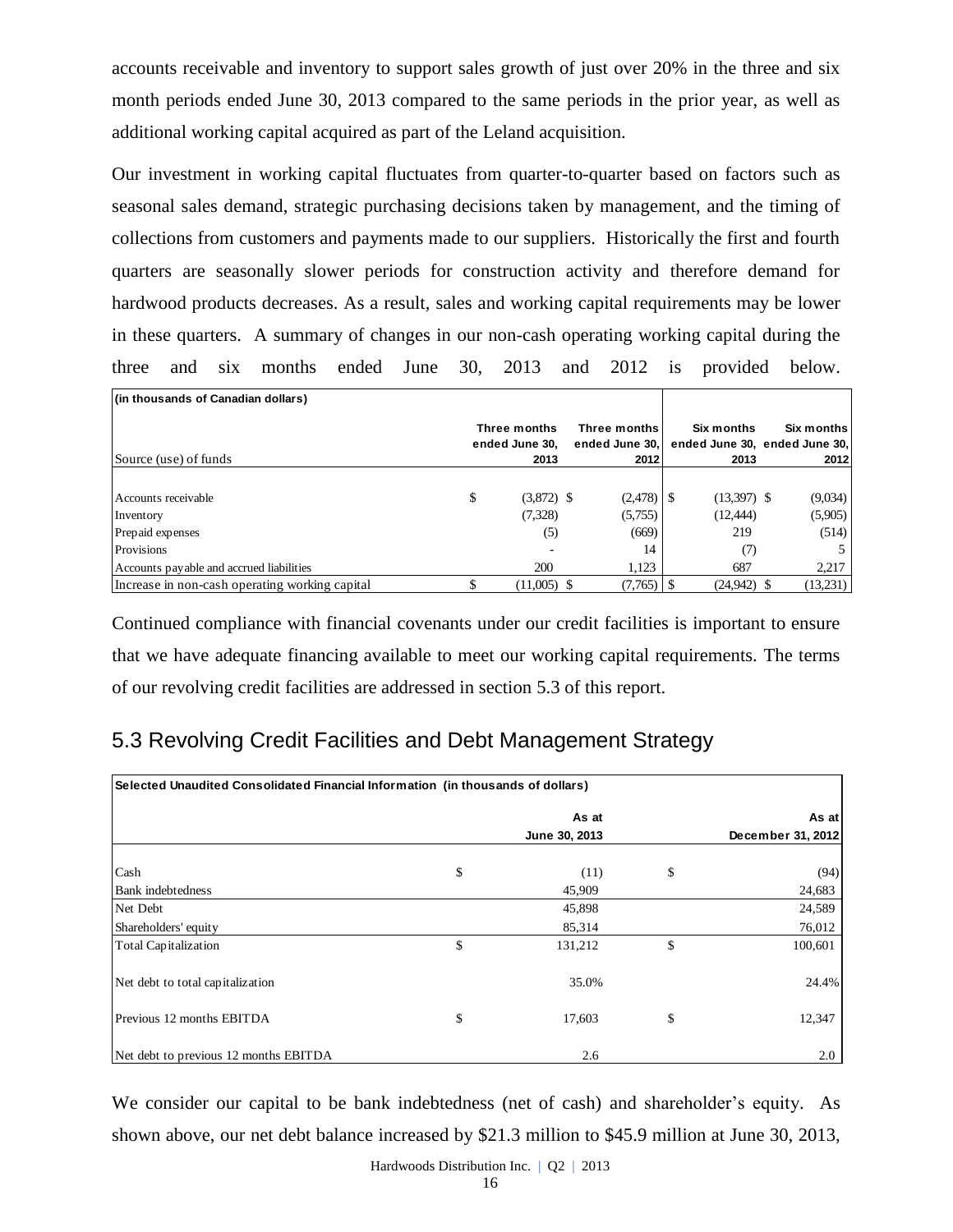accounts receivable and inventory to support sales growth of just over 20% in the three and six month periods ended June 30, 2013 compared to the same periods in the prior year, as well as additional working capital acquired as part of the Leland acquisition.

Our investment in working capital fluctuates from quarter-to-quarter based on factors such as seasonal sales demand, strategic purchasing decisions taken by management, and the timing of collections from customers and payments made to our suppliers. Historically the first and fourth quarters are seasonally slower periods for construction activity and therefore demand for hardwood products decreases. As a result, sales and working capital requirements may be lower in these quarters. A summary of changes in our non-cash operating working capital during the three and six months ended June 30, 2013 and 2012 is provided below.

| (in thousands of Canadian dollars)             |                                        |                                        |                                                     |                    |
|------------------------------------------------|----------------------------------------|----------------------------------------|-----------------------------------------------------|--------------------|
| Source (use) of funds                          | Three months<br>ended June 30.<br>2013 | Three months<br>ended June 30.<br>2012 | Six months<br>ended June 30. ended June 30.<br>2013 | Six months<br>2012 |
|                                                |                                        |                                        |                                                     |                    |
| Accounts receivable                            | \$<br>$(3,872)$ \$                     |                                        | $(13,397)$ \$                                       | (9,034)            |
| Inventory                                      | (7,328)                                | (5,755)                                | (12, 444)                                           | (5,905)            |
| Prepaid expenses                               | (5)                                    | (669)                                  | 219                                                 | (514)              |
| <b>Provisions</b>                              |                                        | 14                                     | (7)                                                 |                    |
| Accounts payable and accrued liabilities       | 200                                    | 1,123                                  | 687                                                 | 2.217              |
| Increase in non-cash operating working capital | $(11,005)$ \$                          | $(7,765)$ S                            | $(24,942)$ \$                                       | (13,231)           |

Continued compliance with financial covenants under our credit facilities is important to ensure that we have adequate financing available to meet our working capital requirements. The terms of our revolving credit facilities are addressed in section 5.3 of this report.

# 5.3 Revolving Credit Facilities and Debt Management Strategy

| <b>Selected Unaudited Consolidated Financial Information (in thousands of dollars)</b> |    |               |    |                   |  |  |  |  |
|----------------------------------------------------------------------------------------|----|---------------|----|-------------------|--|--|--|--|
|                                                                                        |    | As at         |    | As at             |  |  |  |  |
|                                                                                        |    | June 30, 2013 |    | December 31, 2012 |  |  |  |  |
| Cash                                                                                   | \$ | (11)          | \$ | (94)              |  |  |  |  |
| <b>Bank</b> indebtedness                                                               |    | 45,909        |    | 24,683            |  |  |  |  |
| Net Debt                                                                               |    | 45,898        |    | 24,589            |  |  |  |  |
| Shareholders' equity                                                                   |    | 85,314        |    | 76,012            |  |  |  |  |
| <b>Total Capitalization</b>                                                            | \$ | 131,212       | \$ | 100,601           |  |  |  |  |
| Net debt to total capitalization                                                       |    | 35.0%         |    | 24.4%             |  |  |  |  |
| Previous 12 months EBITDA                                                              | \$ | 17,603        | \$ | 12,347            |  |  |  |  |
| Net debt to previous 12 months EBITDA                                                  |    | 2.6           |    | 2.0               |  |  |  |  |

We consider our capital to be bank indebtedness (net of cash) and shareholder's equity. As shown above, our net debt balance increased by \$21.3 million to \$45.9 million at June 30, 2013,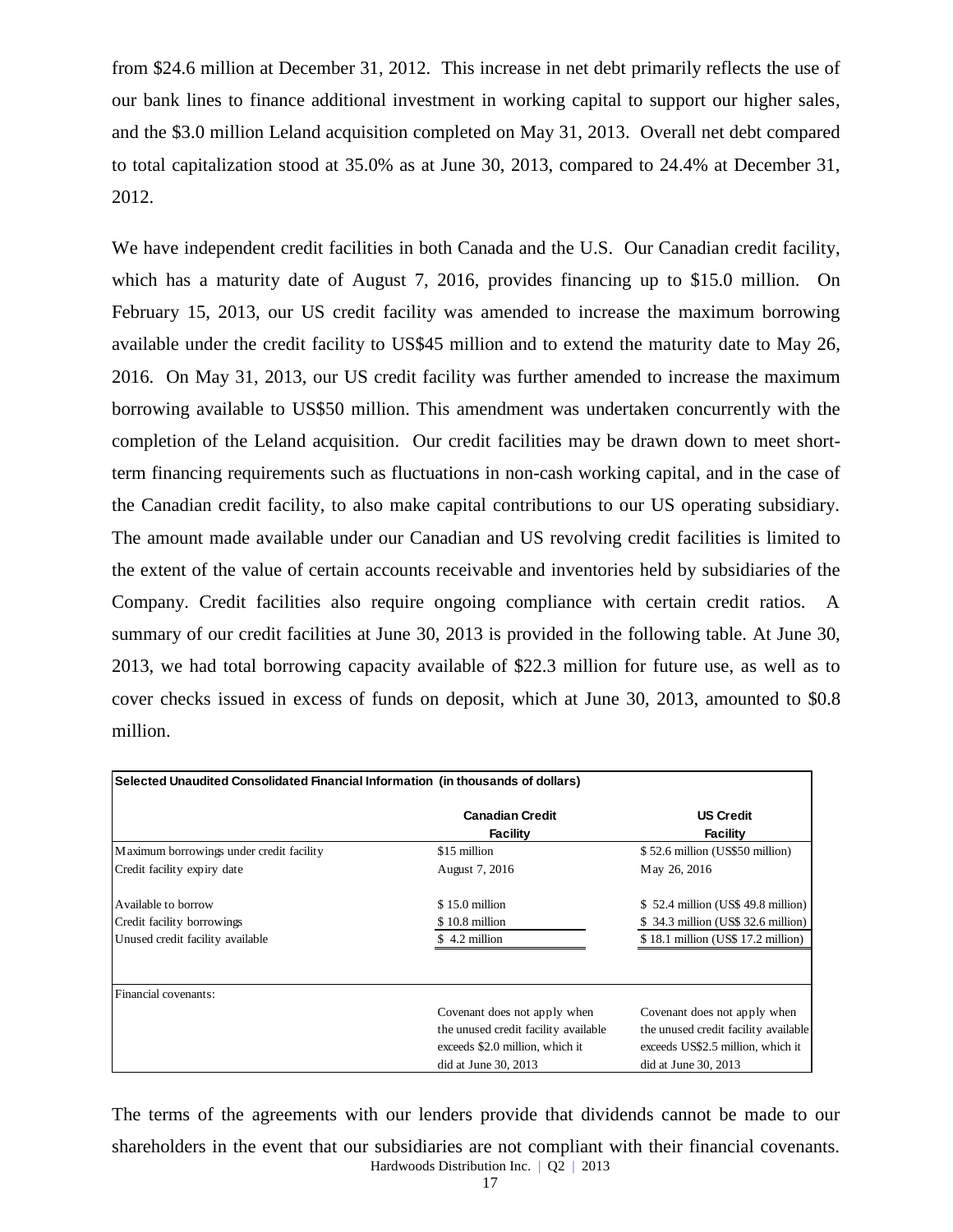from \$24.6 million at December 31, 2012. This increase in net debt primarily reflects the use of our bank lines to finance additional investment in working capital to support our higher sales, and the \$3.0 million Leland acquisition completed on May 31, 2013. Overall net debt compared to total capitalization stood at 35.0% as at June 30, 2013, compared to 24.4% at December 31, 2012.

We have independent credit facilities in both Canada and the U.S. Our Canadian credit facility, which has a maturity date of August 7, 2016, provides financing up to \$15.0 million. On February 15, 2013, our US credit facility was amended to increase the maximum borrowing available under the credit facility to US\$45 million and to extend the maturity date to May 26, 2016. On May 31, 2013, our US credit facility was further amended to increase the maximum borrowing available to US\$50 million. This amendment was undertaken concurrently with the completion of the Leland acquisition. Our credit facilities may be drawn down to meet shortterm financing requirements such as fluctuations in non-cash working capital, and in the case of the Canadian credit facility, to also make capital contributions to our US operating subsidiary. The amount made available under our Canadian and US revolving credit facilities is limited to the extent of the value of certain accounts receivable and inventories held by subsidiaries of the Company. Credit facilities also require ongoing compliance with certain credit ratios. A summary of our credit facilities at June 30, 2013 is provided in the following table. At June 30, 2013, we had total borrowing capacity available of \$22.3 million for future use, as well as to cover checks issued in excess of funds on deposit, which at June 30, 2013, amounted to \$0.8 million.

| Selected Unaudited Consolidated Financial Information (in thousands of dollars) |                                           |                                      |  |  |  |  |  |
|---------------------------------------------------------------------------------|-------------------------------------------|--------------------------------------|--|--|--|--|--|
|                                                                                 | <b>Canadian Credit</b><br><b>Facility</b> | <b>US Credit</b><br>Facility         |  |  |  |  |  |
| Maximum borrowings under credit facility                                        | \$15 million                              | \$52.6 million (US\$50 million)      |  |  |  |  |  |
| Credit facility expiry date                                                     | August 7, 2016                            | May 26, 2016                         |  |  |  |  |  |
| Available to borrow                                                             | $$15.0$ million                           | $$52.4$ million (US\$ 49.8 million)  |  |  |  |  |  |
| Credit facility borrowings                                                      | \$10.8 million                            | \$34.3 million (US\$ 32.6 million)   |  |  |  |  |  |
| Unused credit facility available                                                | \$4.2 million                             | \$18.1 million (US\$ 17.2 million)   |  |  |  |  |  |
|                                                                                 |                                           |                                      |  |  |  |  |  |
| Financial covenants:                                                            |                                           |                                      |  |  |  |  |  |
|                                                                                 | Covenant does not apply when              | Covenant does not apply when         |  |  |  |  |  |
|                                                                                 | the unused credit facility available      | the unused credit facility available |  |  |  |  |  |
|                                                                                 | exceeds \$2.0 million, which it           | exceeds US\$2.5 million, which it    |  |  |  |  |  |
|                                                                                 | $did$ at June 30, 2013                    | did at June $30, 2013$               |  |  |  |  |  |

Hardwoods Distribution Inc. | Q2 | 2013 The terms of the agreements with our lenders provide that dividends cannot be made to our shareholders in the event that our subsidiaries are not compliant with their financial covenants.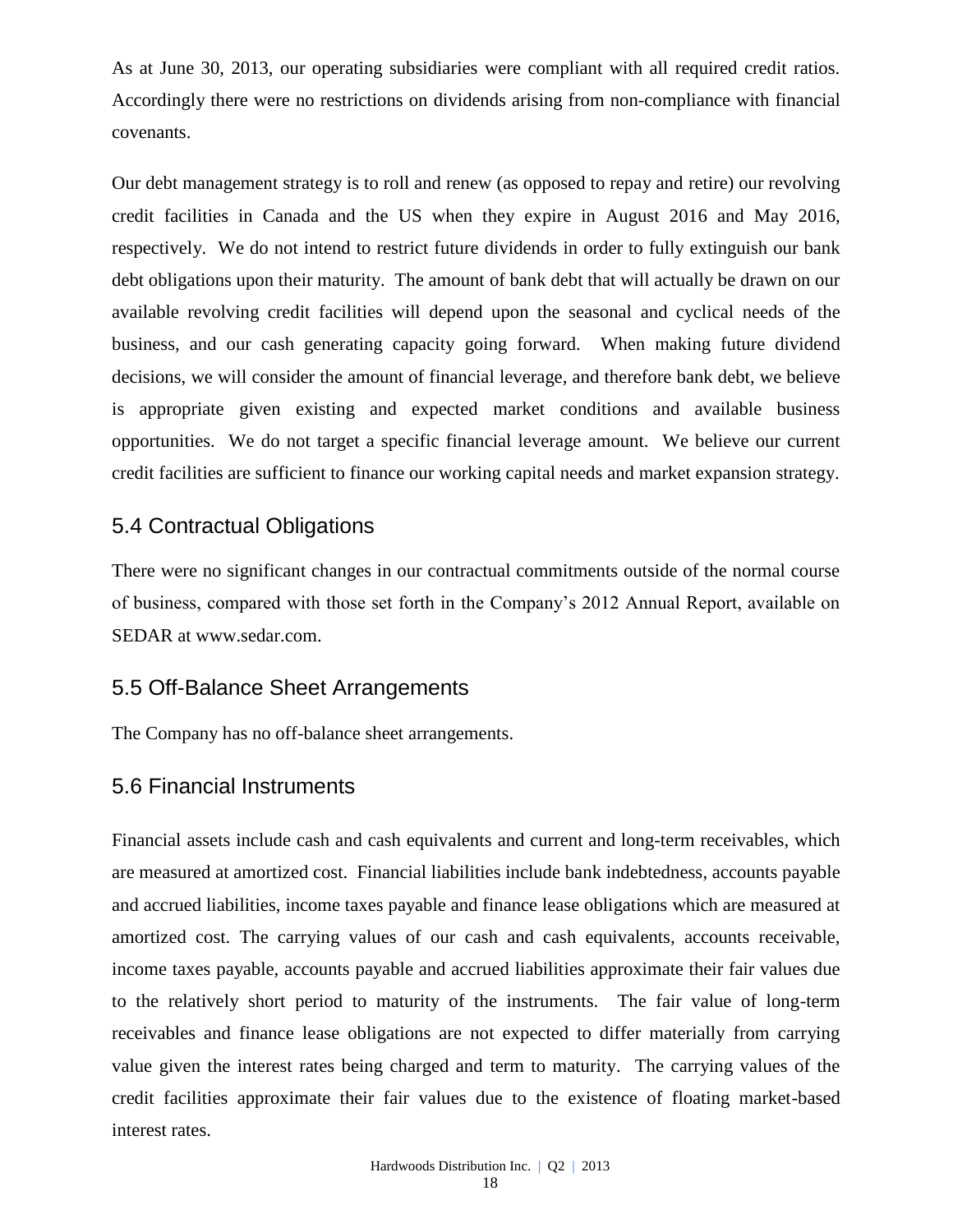As at June 30, 2013, our operating subsidiaries were compliant with all required credit ratios. Accordingly there were no restrictions on dividends arising from non-compliance with financial covenants.

Our debt management strategy is to roll and renew (as opposed to repay and retire) our revolving credit facilities in Canada and the US when they expire in August 2016 and May 2016, respectively. We do not intend to restrict future dividends in order to fully extinguish our bank debt obligations upon their maturity. The amount of bank debt that will actually be drawn on our available revolving credit facilities will depend upon the seasonal and cyclical needs of the business, and our cash generating capacity going forward. When making future dividend decisions, we will consider the amount of financial leverage, and therefore bank debt, we believe is appropriate given existing and expected market conditions and available business opportunities. We do not target a specific financial leverage amount. We believe our current credit facilities are sufficient to finance our working capital needs and market expansion strategy.

## 5.4 Contractual Obligations

There were no significant changes in our contractual commitments outside of the normal course of business, compared with those set forth in the Company's 2012 Annual Report, available on SEDAR at www.sedar.com.

## 5.5 Off-Balance Sheet Arrangements

The Company has no off-balance sheet arrangements.

## 5.6 Financial Instruments

Financial assets include cash and cash equivalents and current and long-term receivables, which are measured at amortized cost. Financial liabilities include bank indebtedness, accounts payable and accrued liabilities, income taxes payable and finance lease obligations which are measured at amortized cost. The carrying values of our cash and cash equivalents, accounts receivable, income taxes payable, accounts payable and accrued liabilities approximate their fair values due to the relatively short period to maturity of the instruments. The fair value of long-term receivables and finance lease obligations are not expected to differ materially from carrying value given the interest rates being charged and term to maturity. The carrying values of the credit facilities approximate their fair values due to the existence of floating market-based interest rates.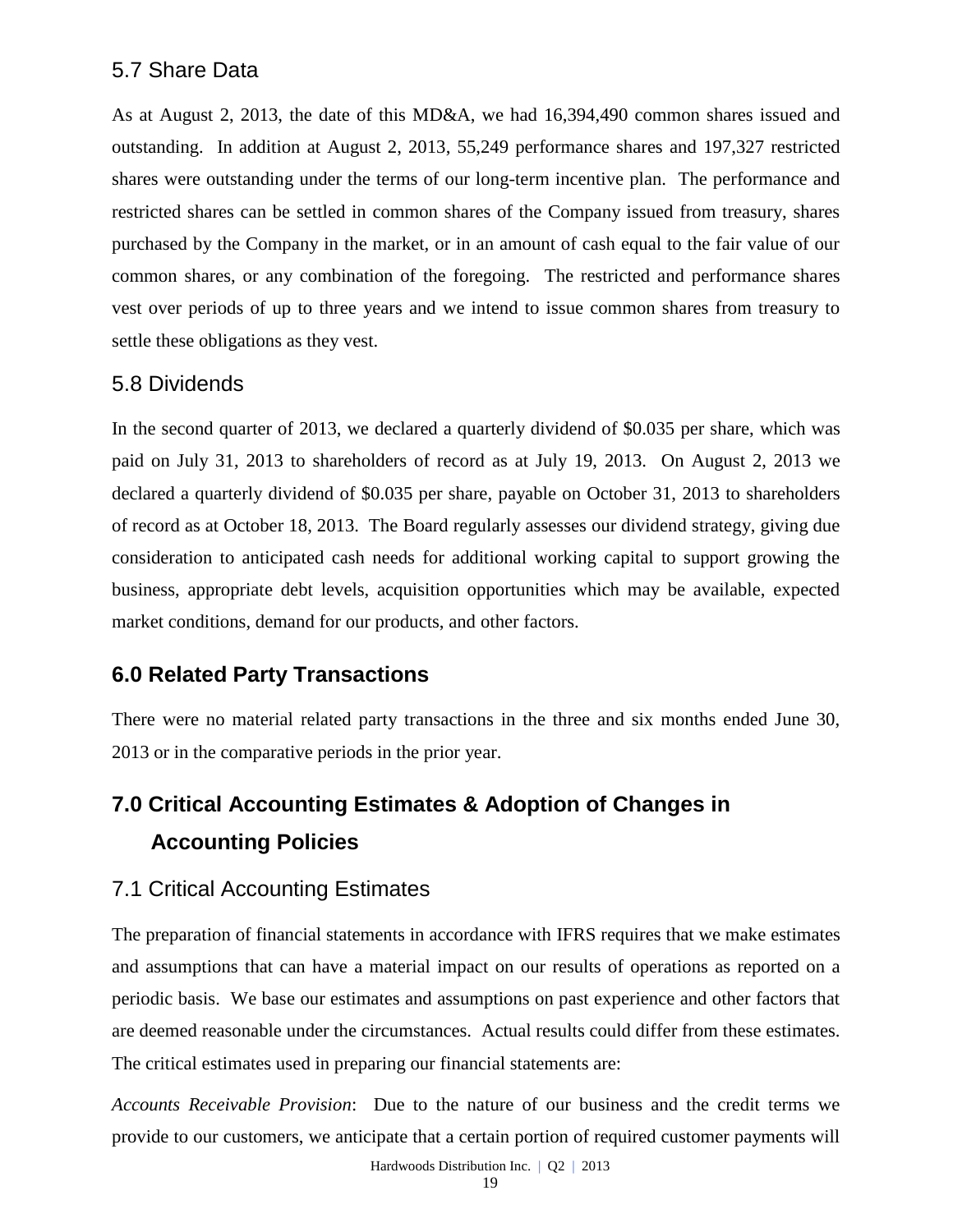## 5.7 Share Data

As at August 2, 2013, the date of this MD&A, we had 16,394,490 common shares issued and outstanding. In addition at August 2, 2013, 55,249 performance shares and 197,327 restricted shares were outstanding under the terms of our long-term incentive plan. The performance and restricted shares can be settled in common shares of the Company issued from treasury, shares purchased by the Company in the market, or in an amount of cash equal to the fair value of our common shares, or any combination of the foregoing. The restricted and performance shares vest over periods of up to three years and we intend to issue common shares from treasury to settle these obligations as they vest.

## 5.8 Dividends

In the second quarter of 2013, we declared a quarterly dividend of \$0.035 per share, which was paid on July 31, 2013 to shareholders of record as at July 19, 2013. On August 2, 2013 we declared a quarterly dividend of \$0.035 per share, payable on October 31, 2013 to shareholders of record as at October 18, 2013. The Board regularly assesses our dividend strategy, giving due consideration to anticipated cash needs for additional working capital to support growing the business, appropriate debt levels, acquisition opportunities which may be available, expected market conditions, demand for our products, and other factors.

## **6.0 Related Party Transactions**

There were no material related party transactions in the three and six months ended June 30, 2013 or in the comparative periods in the prior year.

# **7.0 Critical Accounting Estimates & Adoption of Changes in Accounting Policies**

## 7.1 Critical Accounting Estimates

The preparation of financial statements in accordance with IFRS requires that we make estimates and assumptions that can have a material impact on our results of operations as reported on a periodic basis. We base our estimates and assumptions on past experience and other factors that are deemed reasonable under the circumstances. Actual results could differ from these estimates. The critical estimates used in preparing our financial statements are:

*Accounts Receivable Provision*: Due to the nature of our business and the credit terms we provide to our customers, we anticipate that a certain portion of required customer payments will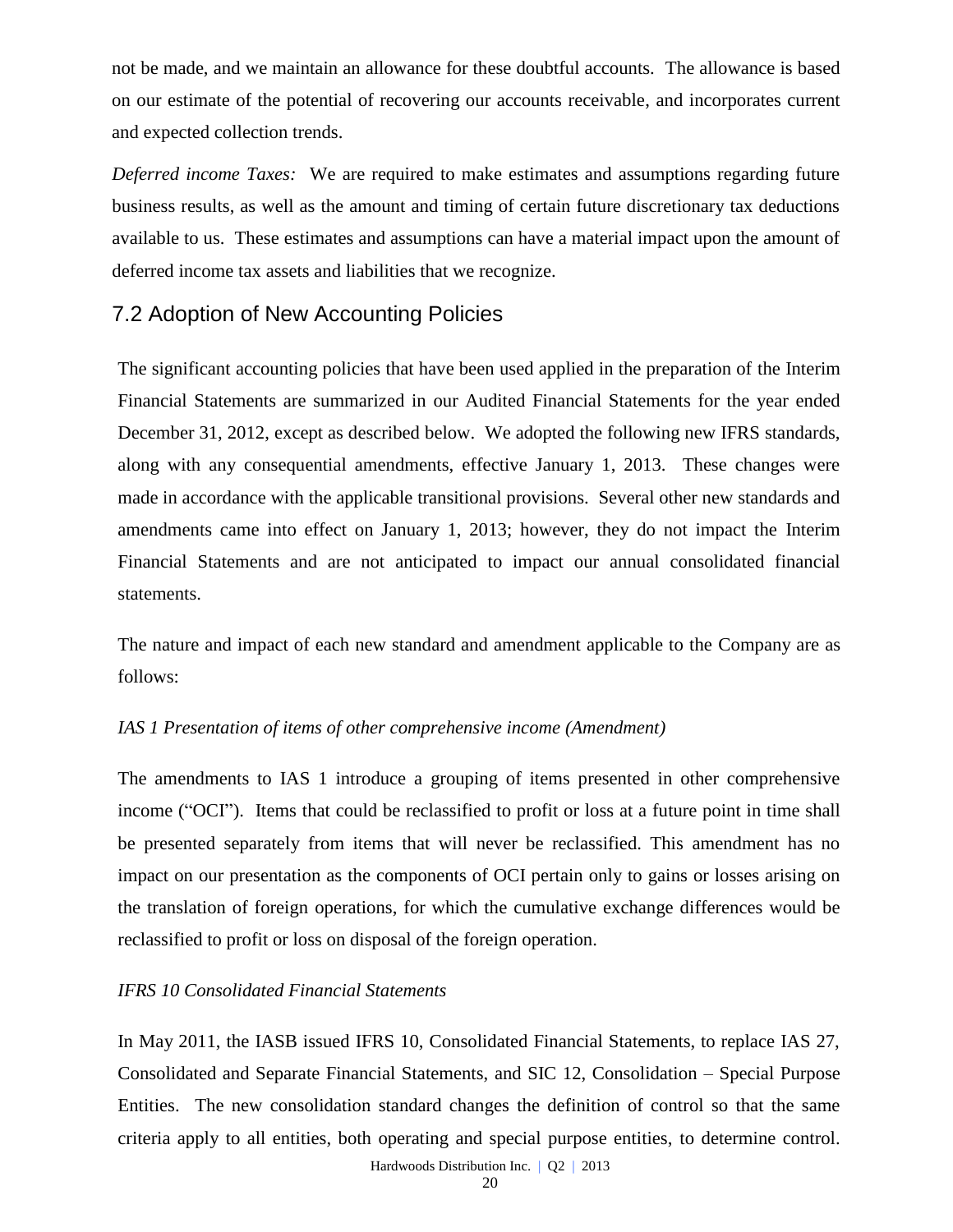not be made, and we maintain an allowance for these doubtful accounts. The allowance is based on our estimate of the potential of recovering our accounts receivable, and incorporates current and expected collection trends.

*Deferred income Taxes:* We are required to make estimates and assumptions regarding future business results, as well as the amount and timing of certain future discretionary tax deductions available to us. These estimates and assumptions can have a material impact upon the amount of deferred income tax assets and liabilities that we recognize.

## 7.2 Adoption of New Accounting Policies

The significant accounting policies that have been used applied in the preparation of the Interim Financial Statements are summarized in our Audited Financial Statements for the year ended December 31, 2012, except as described below. We adopted the following new IFRS standards, along with any consequential amendments, effective January 1, 2013. These changes were made in accordance with the applicable transitional provisions. Several other new standards and amendments came into effect on January 1, 2013; however, they do not impact the Interim Financial Statements and are not anticipated to impact our annual consolidated financial statements.

The nature and impact of each new standard and amendment applicable to the Company are as follows:

### *IAS 1 Presentation of items of other comprehensive income (Amendment)*

The amendments to IAS 1 introduce a grouping of items presented in other comprehensive income ("OCI"). Items that could be reclassified to profit or loss at a future point in time shall be presented separately from items that will never be reclassified. This amendment has no impact on our presentation as the components of OCI pertain only to gains or losses arising on the translation of foreign operations, for which the cumulative exchange differences would be reclassified to profit or loss on disposal of the foreign operation.

#### *IFRS 10 Consolidated Financial Statements*

In May 2011, the IASB issued IFRS 10, Consolidated Financial Statements, to replace IAS 27, Consolidated and Separate Financial Statements, and SIC 12, Consolidation – Special Purpose Entities. The new consolidation standard changes the definition of control so that the same criteria apply to all entities, both operating and special purpose entities, to determine control.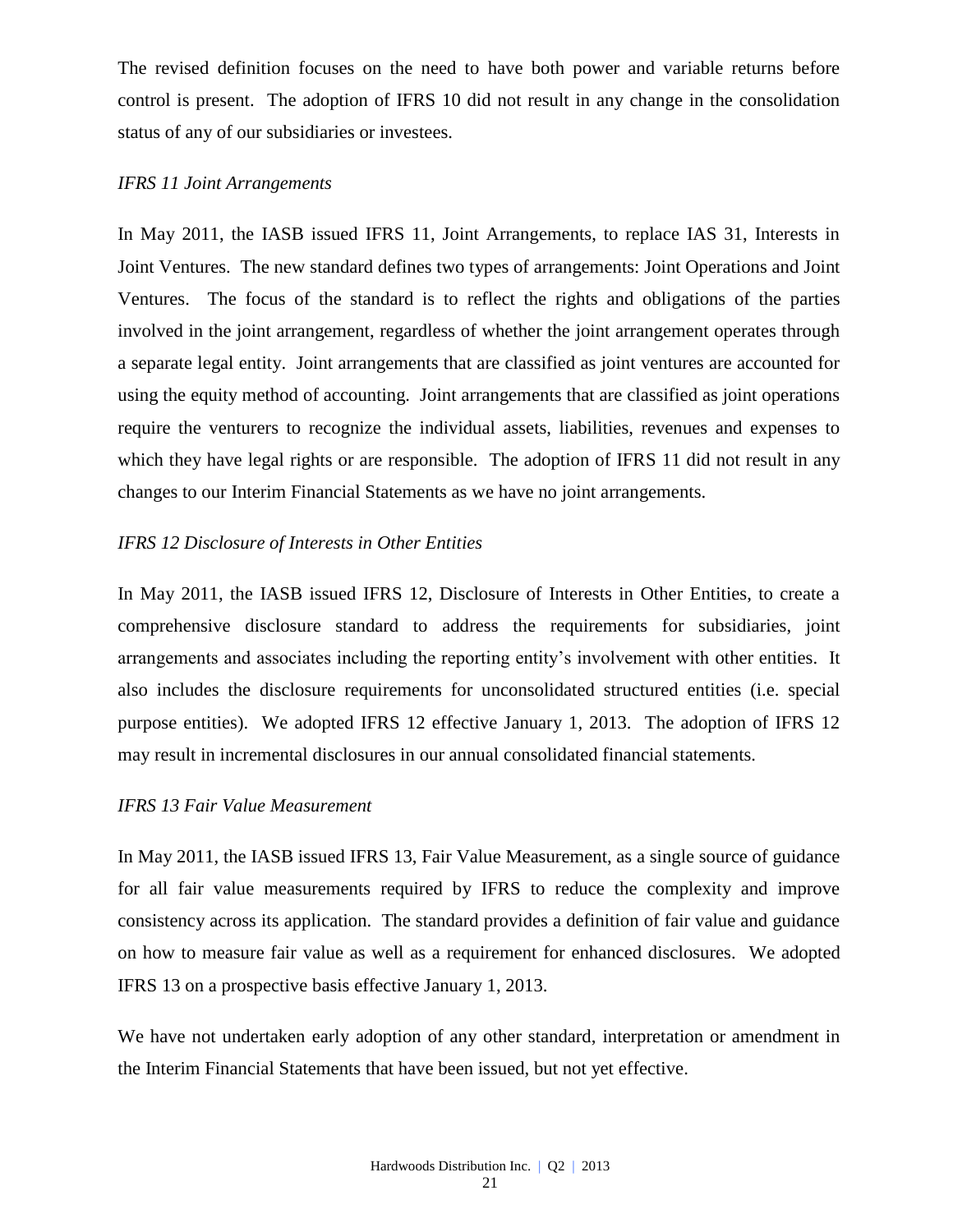The revised definition focuses on the need to have both power and variable returns before control is present. The adoption of IFRS 10 did not result in any change in the consolidation status of any of our subsidiaries or investees.

#### *IFRS 11 Joint Arrangements*

In May 2011, the IASB issued IFRS 11, Joint Arrangements, to replace IAS 31, Interests in Joint Ventures. The new standard defines two types of arrangements: Joint Operations and Joint Ventures. The focus of the standard is to reflect the rights and obligations of the parties involved in the joint arrangement, regardless of whether the joint arrangement operates through a separate legal entity. Joint arrangements that are classified as joint ventures are accounted for using the equity method of accounting. Joint arrangements that are classified as joint operations require the venturers to recognize the individual assets, liabilities, revenues and expenses to which they have legal rights or are responsible. The adoption of IFRS 11 did not result in any changes to our Interim Financial Statements as we have no joint arrangements.

### *IFRS 12 Disclosure of Interests in Other Entities*

In May 2011, the IASB issued IFRS 12, Disclosure of Interests in Other Entities, to create a comprehensive disclosure standard to address the requirements for subsidiaries, joint arrangements and associates including the reporting entity's involvement with other entities. It also includes the disclosure requirements for unconsolidated structured entities (i.e. special purpose entities). We adopted IFRS 12 effective January 1, 2013. The adoption of IFRS 12 may result in incremental disclosures in our annual consolidated financial statements.

#### *IFRS 13 Fair Value Measurement*

In May 2011, the IASB issued IFRS 13, Fair Value Measurement, as a single source of guidance for all fair value measurements required by IFRS to reduce the complexity and improve consistency across its application. The standard provides a definition of fair value and guidance on how to measure fair value as well as a requirement for enhanced disclosures. We adopted IFRS 13 on a prospective basis effective January 1, 2013.

We have not undertaken early adoption of any other standard, interpretation or amendment in the Interim Financial Statements that have been issued, but not yet effective.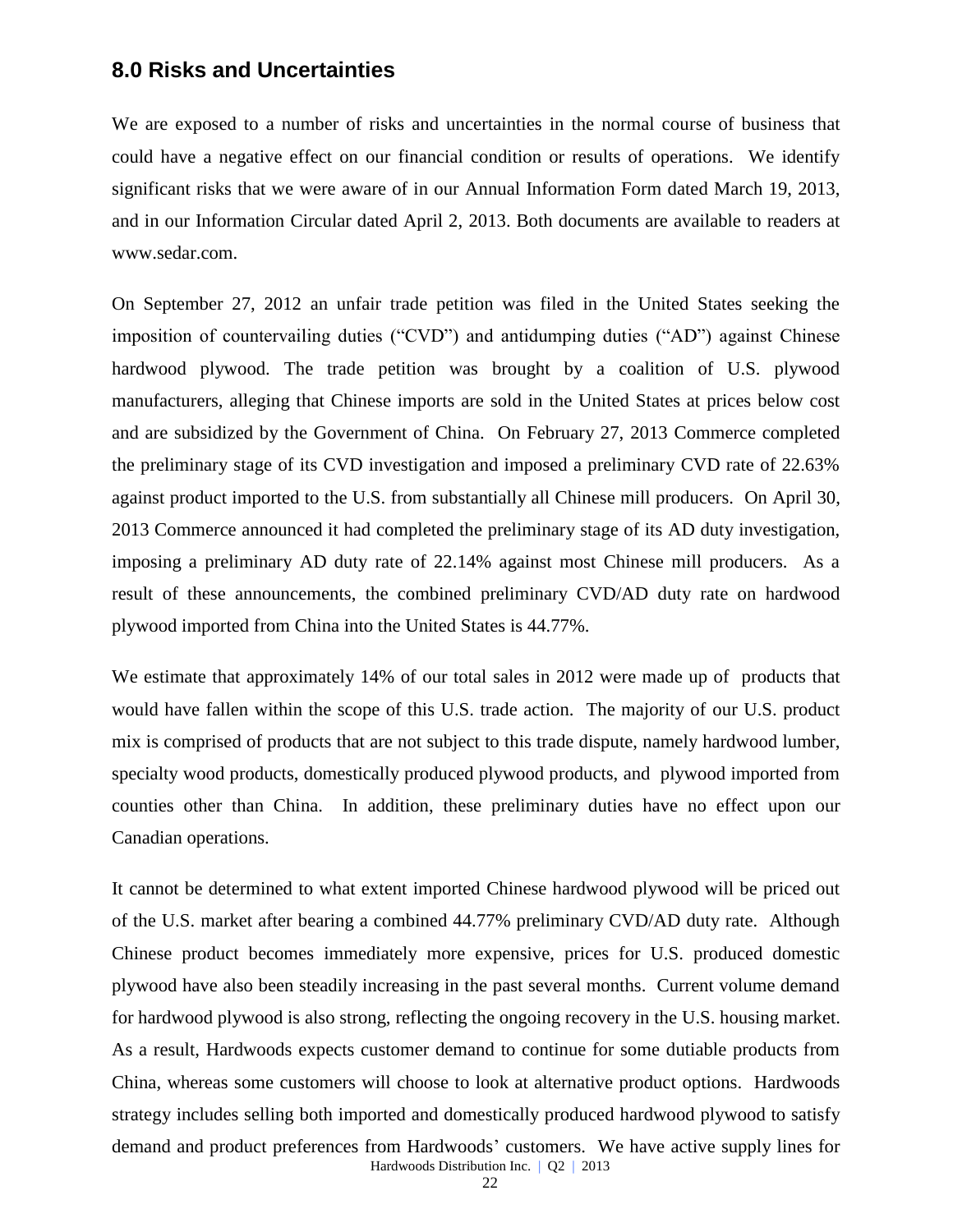### **8.0 Risks and Uncertainties**

We are exposed to a number of risks and uncertainties in the normal course of business that could have a negative effect on our financial condition or results of operations. We identify significant risks that we were aware of in our Annual Information Form dated March 19, 2013, and in our Information Circular dated April 2, 2013. Both documents are available to readers at [www.sedar.com.](http://www.sedar.com/)

On September 27, 2012 an unfair trade petition was filed in the United States seeking the imposition of countervailing duties ("CVD") and antidumping duties ("AD") against Chinese hardwood plywood. The trade petition was brought by a coalition of U.S. plywood manufacturers, alleging that Chinese imports are sold in the United States at prices below cost and are subsidized by the Government of China. On February 27, 2013 Commerce completed the preliminary stage of its CVD investigation and imposed a preliminary CVD rate of 22.63% against product imported to the U.S. from substantially all Chinese mill producers. On April 30, 2013 Commerce announced it had completed the preliminary stage of its AD duty investigation, imposing a preliminary AD duty rate of 22.14% against most Chinese mill producers. As a result of these announcements, the combined preliminary CVD/AD duty rate on hardwood plywood imported from China into the United States is 44.77%.

We estimate that approximately 14% of our total sales in 2012 were made up of products that would have fallen within the scope of this U.S. trade action. The majority of our U.S. product mix is comprised of products that are not subject to this trade dispute, namely hardwood lumber, specialty wood products, domestically produced plywood products, and plywood imported from counties other than China. In addition, these preliminary duties have no effect upon our Canadian operations.

Hardwoods Distribution Inc. | Q2 | 2013 It cannot be determined to what extent imported Chinese hardwood plywood will be priced out of the U.S. market after bearing a combined 44.77% preliminary CVD/AD duty rate. Although Chinese product becomes immediately more expensive, prices for U.S. produced domestic plywood have also been steadily increasing in the past several months. Current volume demand for hardwood plywood is also strong, reflecting the ongoing recovery in the U.S. housing market. As a result, Hardwoods expects customer demand to continue for some dutiable products from China, whereas some customers will choose to look at alternative product options. Hardwoods strategy includes selling both imported and domestically produced hardwood plywood to satisfy demand and product preferences from Hardwoods' customers. We have active supply lines for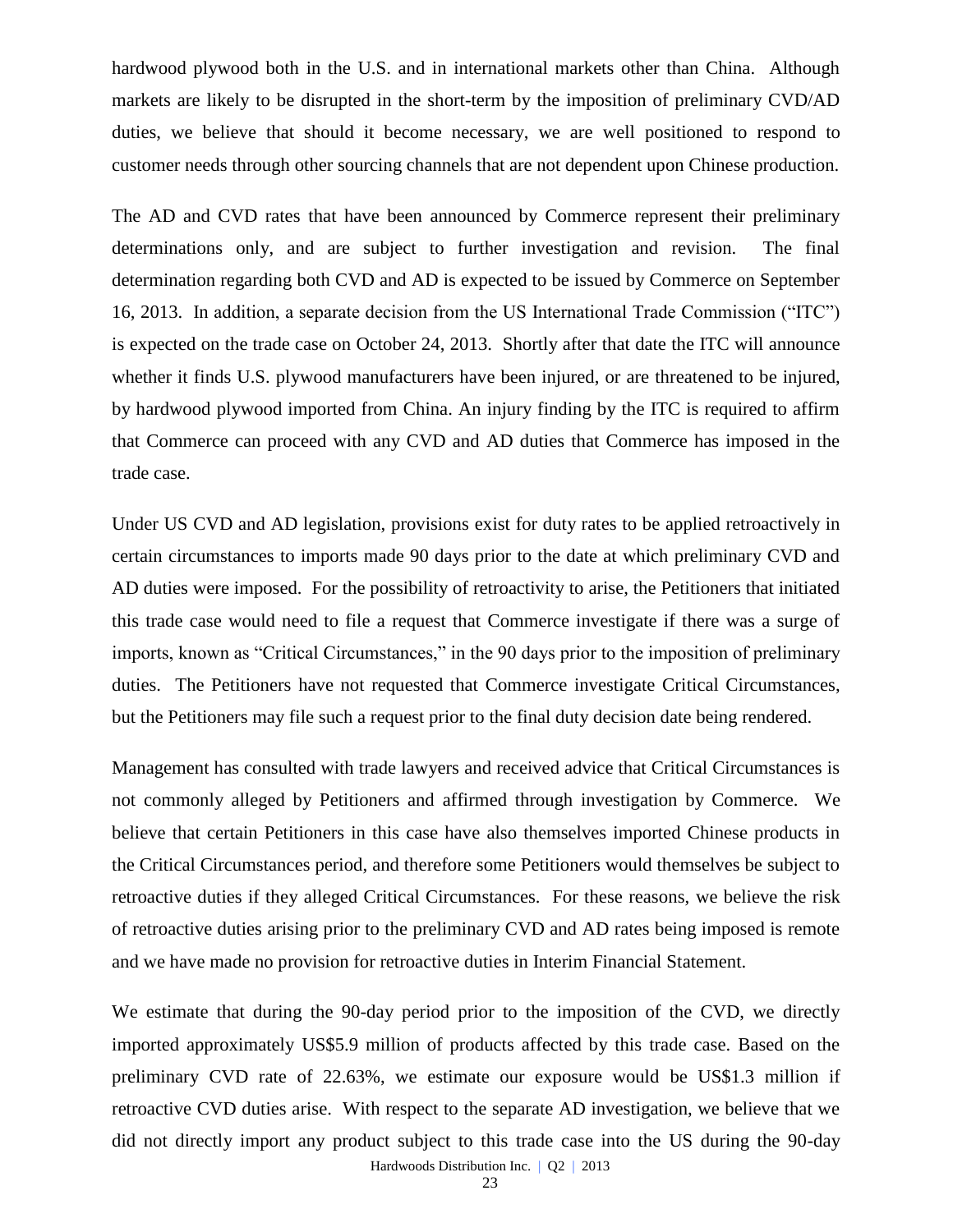hardwood plywood both in the U.S. and in international markets other than China. Although markets are likely to be disrupted in the short-term by the imposition of preliminary CVD/AD duties, we believe that should it become necessary, we are well positioned to respond to customer needs through other sourcing channels that are not dependent upon Chinese production.

The AD and CVD rates that have been announced by Commerce represent their preliminary determinations only, and are subject to further investigation and revision. The final determination regarding both CVD and AD is expected to be issued by Commerce on September 16, 2013. In addition, a separate decision from the US International Trade Commission ("ITC") is expected on the trade case on October 24, 2013. Shortly after that date the ITC will announce whether it finds U.S. plywood manufacturers have been injured, or are threatened to be injured, by hardwood plywood imported from China. An injury finding by the ITC is required to affirm that Commerce can proceed with any CVD and AD duties that Commerce has imposed in the trade case.

Under US CVD and AD legislation, provisions exist for duty rates to be applied retroactively in certain circumstances to imports made 90 days prior to the date at which preliminary CVD and AD duties were imposed. For the possibility of retroactivity to arise, the Petitioners that initiated this trade case would need to file a request that Commerce investigate if there was a surge of imports, known as "Critical Circumstances," in the 90 days prior to the imposition of preliminary duties. The Petitioners have not requested that Commerce investigate Critical Circumstances, but the Petitioners may file such a request prior to the final duty decision date being rendered.

Management has consulted with trade lawyers and received advice that Critical Circumstances is not commonly alleged by Petitioners and affirmed through investigation by Commerce. We believe that certain Petitioners in this case have also themselves imported Chinese products in the Critical Circumstances period, and therefore some Petitioners would themselves be subject to retroactive duties if they alleged Critical Circumstances. For these reasons, we believe the risk of retroactive duties arising prior to the preliminary CVD and AD rates being imposed is remote and we have made no provision for retroactive duties in Interim Financial Statement.

We estimate that during the 90-day period prior to the imposition of the CVD, we directly imported approximately US\$5.9 million of products affected by this trade case. Based on the preliminary CVD rate of 22.63%, we estimate our exposure would be US\$1.3 million if retroactive CVD duties arise. With respect to the separate AD investigation, we believe that we did not directly import any product subject to this trade case into the US during the 90-day

Hardwoods Distribution Inc. | Q2 | 2013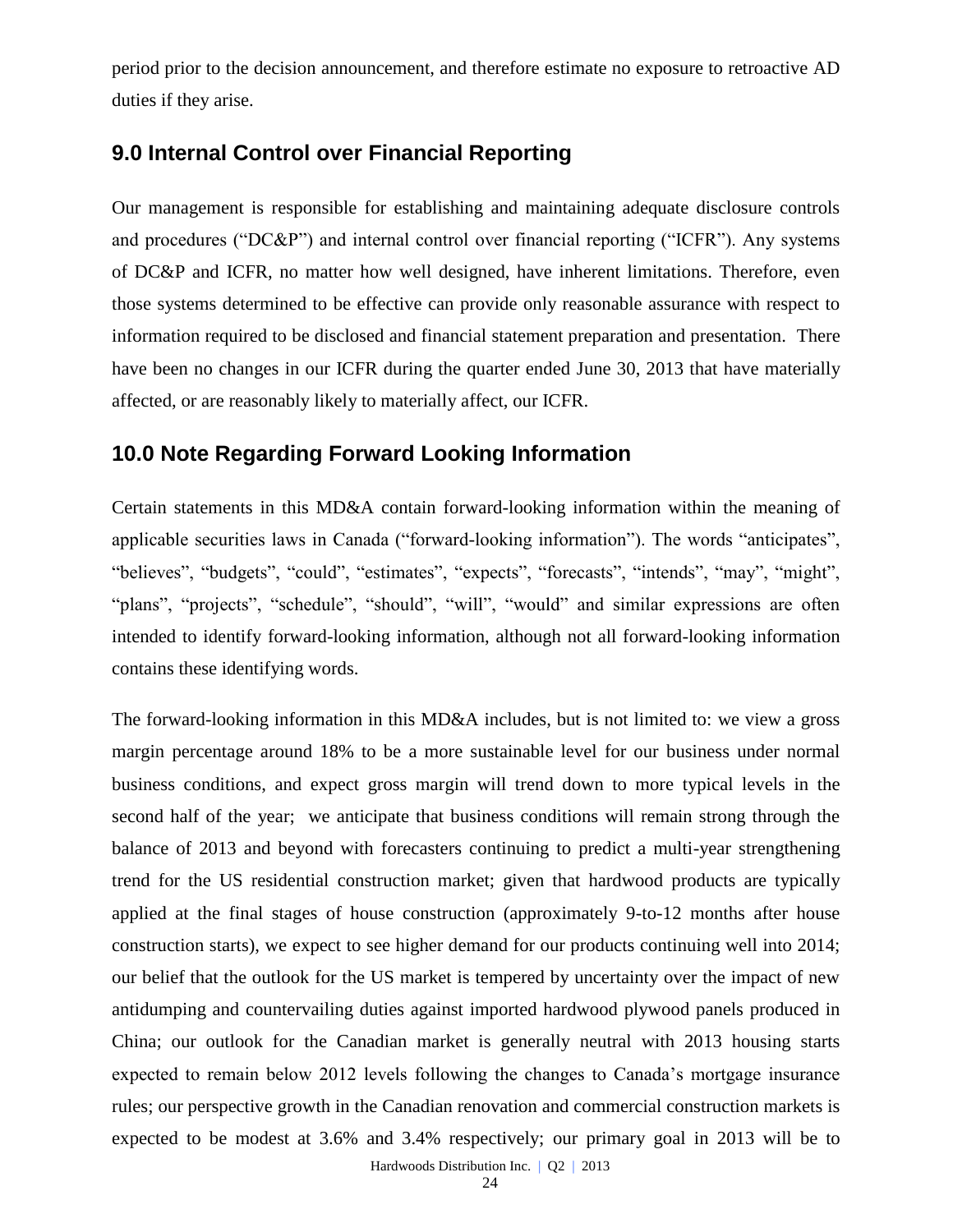period prior to the decision announcement, and therefore estimate no exposure to retroactive AD duties if they arise.

## **9.0 Internal Control over Financial Reporting**

Our management is responsible for establishing and maintaining adequate disclosure controls and procedures ("DC&P") and internal control over financial reporting ("ICFR"). Any systems of DC&P and ICFR, no matter how well designed, have inherent limitations. Therefore, even those systems determined to be effective can provide only reasonable assurance with respect to information required to be disclosed and financial statement preparation and presentation. There have been no changes in our ICFR during the quarter ended June 30, 2013 that have materially affected, or are reasonably likely to materially affect, our ICFR.

## **10.0 Note Regarding Forward Looking Information**

Certain statements in this MD&A contain forward-looking information within the meaning of applicable securities laws in Canada ("forward-looking information"). The words "anticipates", "believes", "budgets", "could", "estimates", "expects", "forecasts", "intends", "may", "might", "plans", "projects", "schedule", "should", "will", "would" and similar expressions are often intended to identify forward-looking information, although not all forward-looking information contains these identifying words.

The forward-looking information in this MD&A includes, but is not limited to: we view a gross margin percentage around 18% to be a more sustainable level for our business under normal business conditions, and expect gross margin will trend down to more typical levels in the second half of the year; we anticipate that business conditions will remain strong through the balance of 2013 and beyond with forecasters continuing to predict a multi-year strengthening trend for the US residential construction market; given that hardwood products are typically applied at the final stages of house construction (approximately 9-to-12 months after house construction starts), we expect to see higher demand for our products continuing well into 2014; our belief that the outlook for the US market is tempered by uncertainty over the impact of new antidumping and countervailing duties against imported hardwood plywood panels produced in China; our outlook for the Canadian market is generally neutral with 2013 housing starts expected to remain below 2012 levels following the changes to Canada's mortgage insurance rules; our perspective growth in the Canadian renovation and commercial construction markets is expected to be modest at 3.6% and 3.4% respectively; our primary goal in 2013 will be to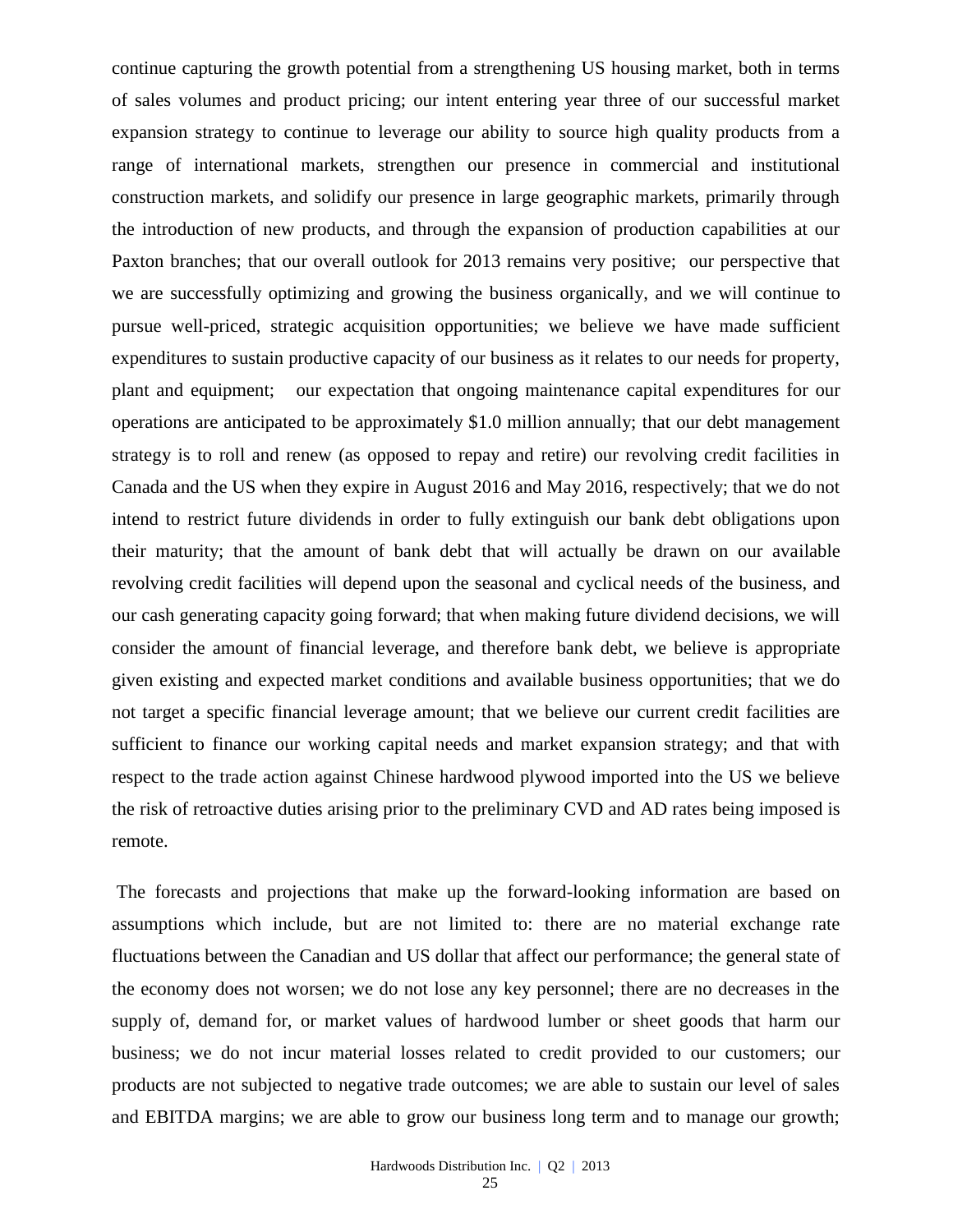continue capturing the growth potential from a strengthening US housing market, both in terms of sales volumes and product pricing; our intent entering year three of our successful market expansion strategy to continue to leverage our ability to source high quality products from a range of international markets, strengthen our presence in commercial and institutional construction markets, and solidify our presence in large geographic markets, primarily through the introduction of new products, and through the expansion of production capabilities at our Paxton branches; that our overall outlook for 2013 remains very positive; our perspective that we are successfully optimizing and growing the business organically, and we will continue to pursue well-priced, strategic acquisition opportunities; we believe we have made sufficient expenditures to sustain productive capacity of our business as it relates to our needs for property, plant and equipment; our expectation that ongoing maintenance capital expenditures for our operations are anticipated to be approximately \$1.0 million annually; that our debt management strategy is to roll and renew (as opposed to repay and retire) our revolving credit facilities in Canada and the US when they expire in August 2016 and May 2016, respectively; that we do not intend to restrict future dividends in order to fully extinguish our bank debt obligations upon their maturity; that the amount of bank debt that will actually be drawn on our available revolving credit facilities will depend upon the seasonal and cyclical needs of the business, and our cash generating capacity going forward; that when making future dividend decisions, we will consider the amount of financial leverage, and therefore bank debt, we believe is appropriate given existing and expected market conditions and available business opportunities; that we do not target a specific financial leverage amount; that we believe our current credit facilities are sufficient to finance our working capital needs and market expansion strategy; and that with respect to the trade action against Chinese hardwood plywood imported into the US we believe the risk of retroactive duties arising prior to the preliminary CVD and AD rates being imposed is remote.

The forecasts and projections that make up the forward-looking information are based on assumptions which include, but are not limited to: there are no material exchange rate fluctuations between the Canadian and US dollar that affect our performance; the general state of the economy does not worsen; we do not lose any key personnel; there are no decreases in the supply of, demand for, or market values of hardwood lumber or sheet goods that harm our business; we do not incur material losses related to credit provided to our customers; our products are not subjected to negative trade outcomes; we are able to sustain our level of sales and EBITDA margins; we are able to grow our business long term and to manage our growth;